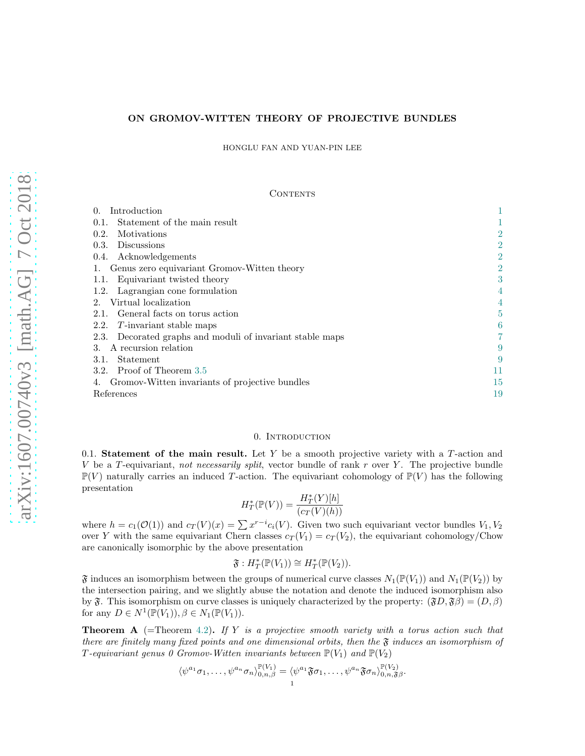# ON GROMOV-WITTEN THEORY OF PROJECTIVE BUNDLES

HONGLU FAN AND YUAN-PIN LEE

### **CONTENTS**

| Introduction<br>$\Omega$ .                                   |                |
|--------------------------------------------------------------|----------------|
| Statement of the main result<br>0.1.                         |                |
| Motivations<br>0.2.                                          | $\overline{2}$ |
| <b>Discussions</b><br>0.3.                                   | $\overline{2}$ |
| Acknowledgements<br>0.4.                                     | $\overline{2}$ |
| Genus zero equivariant Gromov-Witten theory                  | $\overline{2}$ |
| Equivariant twisted theory<br>1.1.                           | 3              |
| Lagrangian cone formulation<br>1.2.                          |                |
| Virtual localization<br>2.                                   |                |
| General facts on torus action<br>2.1.                        | 5              |
| 2.2. T-invariant stable maps                                 | 6              |
| Decorated graphs and moduli of invariant stable maps<br>2.3. |                |
| A recursion relation<br>З.                                   | 9              |
| <b>Statement</b><br>3.1.                                     | 9              |
| 3.2. Proof of Theorem 3.5                                    | 11             |
| Gromov-Witten invariants of projective bundles               | 15             |
| References                                                   | 19             |

# 0. INTRODUCTION

<span id="page-0-1"></span><span id="page-0-0"></span>0.1. Statement of the main result. Let  $Y$  be a smooth projective variety with a  $T$ -action and V be a T-equivariant, not necessarily split, vector bundle of rank r over Y. The projective bundle  $\mathbb{P}(V)$  naturally carries an induced T-action. The equivariant cohomology of  $\mathbb{P}(V)$  has the following presentation

$$
H^*_T(\mathbb{P}(V)) = \frac{H^*_T(Y)[h]}{(c_T(V)(h))}
$$

where  $h = c_1(\mathcal{O}(1))$  and  $c_T(V)(x) = \sum x^{r-i} c_i(V)$ . Given two such equivariant vector bundles  $V_1, V_2$ over Y with the same equivariant Chern classes  $c_T(V_1) = c_T(V_2)$ , the equivariant cohomology/Chow are canonically isomorphic by the above presentation

$$
\mathfrak{F}: H^*_{T}(\mathbb{P}(V_1)) \cong H^*_{T}(\mathbb{P}(V_2)).
$$

 $\mathfrak F$  induces an isomorphism between the groups of numerical curve classes  $N_1(\mathbb P(V_1))$  and  $N_1(\mathbb P(V_2))$  by the intersection pairing, and we slightly abuse the notation and denote the induced isomorphism also by  $\mathfrak{F}$ . This isomorphism on curve classes is uniquely characterized by the property:  $(\mathfrak{F}D, \mathfrak{F}\beta) = (D, \beta)$ for any  $D \in N^1(\mathbb{P}(V_1)), \beta \in N_1(\mathbb{P}(V_1)).$ 

<span id="page-0-2"></span>**Theorem A** (=Theorem [4.2\)](#page-14-1). If Y is a projective smooth variety with a torus action such that there are finitely many fixed points and one dimensional orbits, then the  $\mathfrak{F}$  induces an isomorphism of T-equivariant genus 0 Gromov-Witten invariants between  $\mathbb{P}(V_1)$  and  $\mathbb{P}(V_2)$ 

$$
\langle \psi^{a_1} \sigma_1, \dots, \psi^{a_n} \sigma_n \rangle_{0,n,\beta}^{\mathbb{P}(V_1)} = \langle \psi^{a_1} \mathfrak{F} \sigma_1, \dots, \psi^{a_n} \mathfrak{F} \sigma_n \rangle_{0,n,\mathfrak{F}\beta}^{\mathbb{P}(V_2)}
$$

.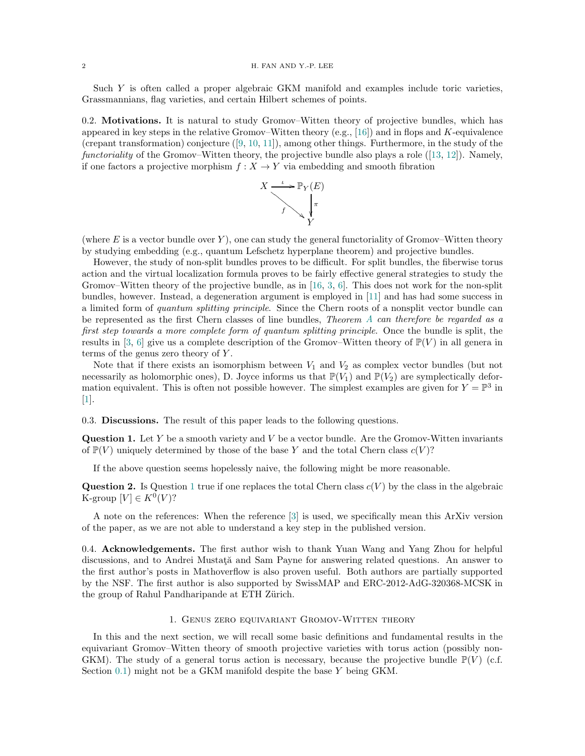<span id="page-1-5"></span>Such Y is often called a proper algebraic GKM manifold and examples include toric varieties, Grassmannians, flag varieties, and certain Hilbert schemes of points.

<span id="page-1-0"></span>0.2. Motivations. It is natural to study Gromov–Witten theory of projective bundles, which has appeared in key steps in the relative Gromov–Witten theory (e.g., [\[16\]](#page-18-1)) and in flops and K-equivalence (crepanttransformation) conjecture  $([9, 10, 11])$  $([9, 10, 11])$  $([9, 10, 11])$  $([9, 10, 11])$  $([9, 10, 11])$  $([9, 10, 11])$  $([9, 10, 11])$ , among other things. Furthermore, in the study of the functorialityof the Gromov–Witten theory, the projective bundle also plays a role  $(13, 12)$ . Namely, if one factors a projective morphism  $f: X \to Y$  via embedding and smooth fibration



(where E is a vector bundle over Y), one can study the general functoriality of Gromov–Witten theory by studying embedding (e.g., quantum Lefschetz hyperplane theorem) and projective bundles.

However, the study of non-split bundles proves to be difficult. For split bundles, the fiberwise torus action and the virtual localization formula proves to be fairly effective general strategies to study the Gromov–Witten theory of the projective bundle, as in [\[16,](#page-18-1) [3,](#page-18-7) [6\]](#page-18-8). This does not work for the non-split bundles, however. Instead, a degeneration argument is employed in [\[11\]](#page-18-4) and has had some success in a limited form of quantum splitting principle. Since the Chern roots of a nonsplit vector bundle can be represented as the first Chern classes of line bundles, *Theorem [A](#page-0-2) can therefore be regarded as a* first step towards a more complete form of quantum splitting principle. Once the bundle is split, the results in [\[3,](#page-18-7) [6\]](#page-18-8) give us a complete description of the Gromov–Witten theory of  $\mathbb{P}(V)$  in all genera in terms of the genus zero theory of Y .

Note that if there exists an isomorphism between  $V_1$  and  $V_2$  as complex vector bundles (but not necessarily as holomorphic ones), D. Joyce informs us that  $\mathbb{P}(V_1)$  and  $\mathbb{P}(V_2)$  are symplectically deformation equivalent. This is often not possible however. The simplest examples are given for  $Y = \mathbb{P}^3$  in [\[1\]](#page-18-9).

<span id="page-1-1"></span>0.3. Discussions. The result of this paper leads to the following questions.

<span id="page-1-4"></span>**Question 1.** Let  $Y$  be a smooth variety and  $V$  be a vector bundle. Are the Gromov-Witten invariants of  $\mathbb{P}(V)$  uniquely determined by those of the base Y and the total Chern class  $c(V)$ ?

If the above question seems hopelessly naive, the following might be more reasonable.

**Question 2.** Is Question [1](#page-1-4) true if one replaces the total Chern class  $c(V)$  by the class in the algebraic K-group  $[V] \in K^0(V)$ ?

A note on the references: When the reference [\[3\]](#page-18-7) is used, we specifically mean this ArXiv version of the paper, as we are not able to understand a key step in the published version.

<span id="page-1-2"></span>0.4. Acknowledgements. The first author wish to thank Yuan Wang and Yang Zhou for helpful discussions, and to Andrei Mustata and Sam Payne for answering related questions. An answer to the first author's posts in Mathoverflow is also proven useful. Both authors are partially supported by the NSF. The first author is also supported by SwissMAP and ERC-2012-AdG-320368-MCSK in the group of Rahul Pandharipande at ETH Zürich.

# 1. Genus zero equivariant Gromov-Witten theory

<span id="page-1-3"></span>In this and the next section, we will recall some basic definitions and fundamental results in the equivariant Gromov–Witten theory of smooth projective varieties with torus action (possibly non-GKM). The study of a general torus action is necessary, because the projective bundle  $\mathbb{P}(V)$  (c.f. Section  $(0.1)$  $(0.1)$  might not be a GKM manifold despite the base Y being GKM.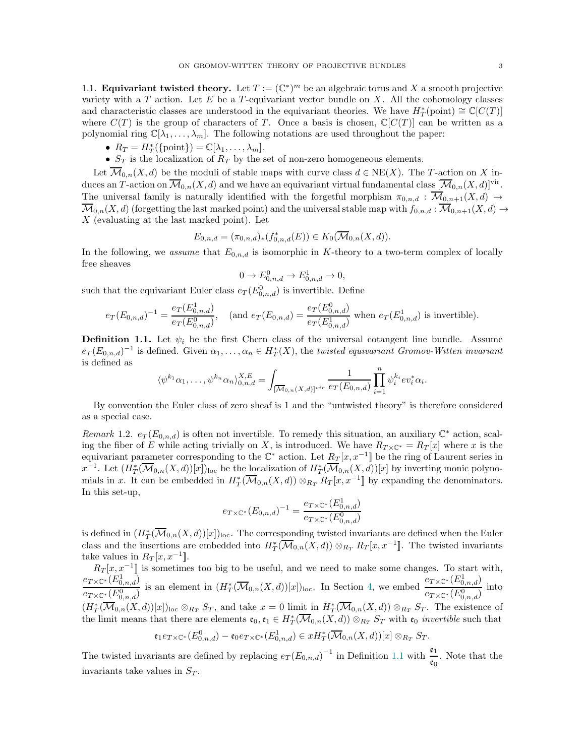<span id="page-2-0"></span>1.1. **Equivariant twisted theory.** Let  $T := (\mathbb{C}^*)^m$  be an algebraic torus and X a smooth projective variety with a  $T$  action. Let  $E$  be a  $T$ -equivariant vector bundle on  $X$ . All the cohomology classes and characteristic classes are understood in the equivariant theories. We have  $H^*_T$ (point)  $\cong \mathbb{C}[C(T)]$ where  $C(T)$  is the group of characters of T. Once a basis is chosen,  $\mathbb{C}[C(T)]$  can be written as a polynomial ring  $\mathbb{C}[\lambda_1, \ldots, \lambda_m]$ . The following notations are used throughout the paper:

- $R_T = H_T^*(\{\text{point}\}) = \mathbb{C}[\lambda_1, \dots, \lambda_m].$
- $S_T$  is the localization of  $R_T$  by the set of non-zero homogeneous elements.

Let  $\overline{\mathcal{M}}_{0,n}(X,\underline{d})$  be the moduli of stable maps with curve class  $d \in \text{NE}(X)$ . The T-action on X induces an T-action on  $\overline{\mathcal{M}}_{0,n}(X,d)$  and we have an equivariant virtual fundamental class  $[\overline{\mathcal{M}}_{0,n}(X,d)]^{\text{vir}}$ . The universal family is naturally identified with the forgetful morphism  $\pi_{0,n,d} : \overline{\mathcal{M}}_{0,n+1}(X,d) \to$  $\overline{\mathcal{M}}_{0,n}(X,d)$  (forgetting the last marked point) and the universal stable map with  $f_{0,n,d}$  :  $\overline{\mathcal{M}}_{0,n+1}(X,d)$   $\rightarrow$ X (evaluating at the last marked point). Let

$$
E_{0,n,d} = (\pi_{0,n,d})_*(f_{0,n,d}^*(E)) \in K_0(\overline{\mathcal{M}}_{0,n}(X,d)).
$$

In the following, we assume that  $E_{0,n,d}$  is isomorphic in K-theory to a two-term complex of locally free sheaves

$$
0 \to E_{0,n,d}^0 \to E_{0,n,d}^1 \to 0,
$$

such that the equivariant Euler class  $e_T(E_{0,n,d}^0)$  is invertible. Define

$$
e_T(E_{0,n,d})^{-1} = \frac{e_T(E_{0,n,d}^1)}{e_T(E_{0,n,d}^0)}, \quad \text{(and } e_T(E_{0,n,d}) = \frac{e_T(E_{0,n,d}^0)}{e_T(E_{0,n,d}^1)} \text{ when } e_T(E_{0,n,d}^1) \text{ is invertible)}.
$$

<span id="page-2-1"></span>**Definition 1.1.** Let  $\psi_i$  be the first Chern class of the universal cotangent line bundle. Assume  $e_T(E_{0,n,d})^{-1}$  is defined. Given  $\alpha_1,\ldots,\alpha_n\in H^*_T(X)$ , the twisted equivariant Gromov-Witten invariant is defined as

$$
\langle \psi^{k_1} \alpha_1, \dots, \psi^{k_n} \alpha_n \rangle_{0,n,d}^{X,E} = \int_{\overline{[M_{0,n}(X,d)]^{vir}}} \frac{1}{e_T(E_{0,n,d})} \prod_{i=1}^n \psi_i^{k_i} e^{i\psi_i^*} \alpha_i.
$$

By convention the Euler class of zero sheaf is 1 and the "untwisted theory" is therefore considered as a special case.

<span id="page-2-2"></span>Remark 1.2.  $e_T(E_{0,n,d})$  is often not invertible. To remedy this situation, an auxiliary  $\mathbb{C}^*$  action, scaling the fiber of E while acting trivially on X, is introduced. We have  $R_{T \times \mathbb{C}^{*}} = R_T[x]$  where x is the equivariant parameter corresponding to the  $\mathbb{C}^*$  action. Let  $R_T[x, x^{-1}]$  be the ring of Laurent series in  $x^{-1}$ . Let  $(H^*_T(\overline{\mathcal{M}}_{0,n}(X,d))[x])_{loc}$  be the localization of  $H^*_T(\overline{\mathcal{M}}_{0,n}(X,d))[x]$  by inverting monic polynomials in x. It can be embedded in  $H^*_T(\overline{\mathcal{M}}_{0,n}(X,d)) \otimes_{R_T} R_T[x,x^{-1}]$  by expanding the denominators. In this set-up,

$$
e_{T \times \mathbb{C}^*}(E_{0,n,d})^{-1} = \frac{e_{T \times \mathbb{C}^*}(E_{0,n,d}^1)}{e_{T \times \mathbb{C}^*}(E_{0,n,d}^0)}
$$

is defined in  $(H^*_T(\overline{\mathcal{M}}_{0,n}(X,d))[x])_{loc}$ . The corresponding twisted invariants are defined when the Euler class and the insertions are embedded into  $H^*_T(\overline{\mathcal{M}}_{0,n}(X,d)) \otimes_{R_T} R_T[x,x^{-1}]$ . The twisted invariants take values in  $R_T[x, x^{-1}].$ 

 $R_T[x, x^{-1}]$  is sometimes too big to be useful, and we need to make some changes. To start with,  $e_{T\times\mathbb{C}^*}(E^1_{0,n,d})$  $e_{T\times\mathbb{C}^*}(E_{0,n,d}^0)$ is an element in  $(H^*_T(\overline{\mathcal{M}}_{0,n}(X,d))[x])_{loc}$ . In Section [4,](#page-14-0) we embed  $e_{T\times\mathbb{C}^*}(E^1_{0,n,d})$  $\frac{e_{T\times\mathbb{C}^*}(E_{0,n,d}^0)}{e_{T\times\mathbb{C}^*}(E_{0,n,d}^0)}$  into  $(H^*_T(\overline{\mathcal{M}}_{0,n}(X,d))[x])_{\text{loc}} \otimes_{R_T} S_T$ , and take  $x = 0$  limit in  $H^*_T(\overline{\mathcal{M}}_{0,n}(X,d)) \otimes_{R_T} S_T$ . The existence of the limit means that there are elements  $\mathfrak{e}_0, \mathfrak{e}_1 \in H^*_T(\overline{\mathcal{M}}_{0,n}(X,d)) \otimes_{R_T} S_T$  with  $\mathfrak{e}_0$  *invertible* such that

$$
\mathfrak{e}_1 e_{T \times \mathbb{C}^*}(E_{0,n,d}^0) - \mathfrak{e}_0 e_{T \times \mathbb{C}^*}(E_{0,n,d}^1) \in x H^*_T(\overline{\mathcal{M}}_{0,n}(X,d))[x] \otimes_{R_T} S_T.
$$

The twisted invariants are defined by replacing  $e_T (E_{0,n,d})^{-1}$  in Definition [1.1](#page-2-1) with  $\frac{\mathfrak{e}_1}{\mathfrak{e}_0}$ . Note that the invariants take values in  $S_T$ .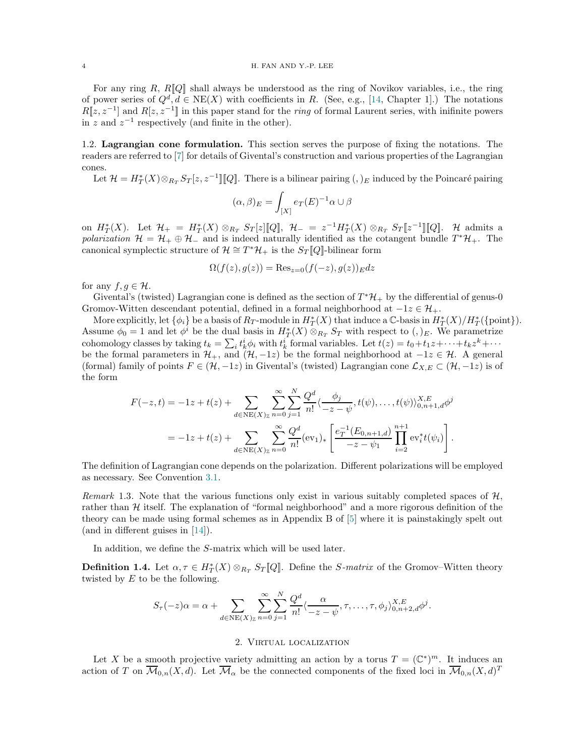## <span id="page-3-3"></span>4 H. FAN AND Y.-P. LEE

For any ring  $R$ ,  $R[Q]$  shall always be understood as the ring of Novikov variables, i.e., the ring of power series of  $Q^d, d \in \text{NE}(X)$  with coefficients in R. (See, e.g., [\[14,](#page-18-10) Chapter 1].) The notations  $R[z, z^{-1}]$  and  $R[z, z^{-1}]$  in this paper stand for the *ring* of formal Laurent series, with inifinite powers in z and  $z^{-1}$  respectively (and finite in the other).

<span id="page-3-0"></span>1.2. Lagrangian cone formulation. This section serves the purpose of fixing the notations. The readers are referred to [\[7\]](#page-18-11) for details of Givental's construction and various properties of the Lagrangian cones.

Let  $\mathcal{H} = H^*_T(X) \otimes_{R_T} S_T[z, z^{-1}][[Q]]$ . There is a bilinear pairing  $(,)_E$  induced by the Poincaré pairing

$$
(\alpha, \beta)_E = \int_{[X]} e_T(E)^{-1} \alpha \cup \beta
$$

on  $H^*_T(X)$ . Let  $\mathcal{H}_+ = H^*_T(X) \otimes_{R_T} S_T[z][[Q], \mathcal{H}_- = z^{-1}H^*_T(X) \otimes_{R_T} S_T[z^{-1}][[Q]]$ . H admits a polarization  $\mathcal{H} = \mathcal{H}_+ \oplus \mathcal{H}_-$  and is indeed naturally identified as the cotangent bundle  $T^*\mathcal{H}_+$ . The canonical symplectic structure of  $\mathcal{H} \cong T^*\mathcal{H}_+$  is the  $S_T[\![Q]\!]$ -bilinear form

$$
\Omega(f(z),g(z)) = \text{Res}_{z=0}(f(-z),g(z))_{E}dz
$$

for any  $f, g \in \mathcal{H}$ .

Givental's (twisted) Lagrangian cone is defined as the section of  $T^*\mathcal{H}_+$  by the differential of genus-0 Gromov-Witten descendant potential, defined in a formal neighborhood at  $-1z \in \mathcal{H}_{+}$ .

More explicitly, let  $\{\phi_i\}$  be a basis of  $R_T$ -module in  $H^*_T(X)$  that induce a  $\mathbb C$ -basis in  $H^*_T(X)/H^*_T(\{\text{point}\}).$ Assume  $\phi_0 = 1$  and let  $\phi^i$  be the dual basis in  $H^*_T(X) \otimes_{R_T} S_T$  with respect to  $(,)_E$ . We parametrize cohomology classes by taking  $t_k = \sum_i t_k^i \phi_i$  with  $t_k^i$  formal variables. Let  $t(z) = t_0 + t_1 z + \cdots + t_k z^k + \cdots$ be the formal parameters in  $\mathcal{H}_+$ , and  $(\mathcal{H}, -1z)$  be the formal neighborhood at  $-1z \in \mathcal{H}$ . A general (formal) family of points  $F \in (\mathcal{H}, -1z)$  in Givental's (twisted) Lagrangian cone  $\mathcal{L}_{X,E} \subset (\mathcal{H}, -1z)$  is of the form

$$
F(-z,t) = -1z + t(z) + \sum_{d \in NE(X)_\mathbb{Z}} \sum_{n=0}^\infty \sum_{j=1}^N \frac{Q^d}{n!} \langle \frac{\phi_j}{-z - \psi}, t(\psi), \dots, t(\psi) \rangle_{0, n+1, d}^{X, E} \phi^j
$$
  
= -1z + t(z) + 
$$
\sum_{d \in NE(X)_\mathbb{Z}} \sum_{n=0}^\infty \frac{Q^d}{n!} (ev_1)_* \left[ \frac{e_T^{-1}(E_{0, n+1, d})}{-z - \psi_1} \prod_{i=2}^{n+1} ev_i^* t(\psi_i) \right].
$$

The definition of Lagrangian cone depends on the polarization. Different polarizations will be employed as necessary. See Convention [3.1.](#page-8-2)

Remark 1.3. Note that the various functions only exist in various suitably completed spaces of  $\mathcal{H}$ , rather than  $H$  itself. The explanation of "formal neighborhood" and a more rigorous definition of the theory can be made using formal schemes as in Appendix B of [\[5\]](#page-18-12) where it is painstakingly spelt out (and in different guises in [\[14\]](#page-18-10)).

In addition, we define the S-matrix which will be used later.

<span id="page-3-2"></span>**Definition 1.4.** Let  $\alpha, \tau \in H^*_T(X) \otimes_{R_T} S_T[Q]$ . Define the *S-matrix* of the Gromov–Witten theory twisted by  $E$  to be the following.

$$
S_{\tau}(-z)\alpha = \alpha + \sum_{d \in \text{NE}(X)_{\mathbb{Z}}} \sum_{n=0}^{\infty} \sum_{j=1}^{N} \frac{Q^d}{n!} \langle \frac{\alpha}{-z-\psi}, \tau, \ldots, \tau, \phi_j \rangle_{0,n+2,d}^{X,E} \phi^j.
$$

### 2. Virtual localization

<span id="page-3-1"></span>Let X be a smooth projective variety admitting an action by a torus  $T = (\mathbb{C}^*)^m$ . It induces an action of T on  $\overline{\mathcal{M}}_{0,n}(X,d)$ . Let  $\overline{\mathcal{M}}_{\alpha}$  be the connected components of the fixed loci in  $\overline{\mathcal{M}}_{0,n}(X,d)^T$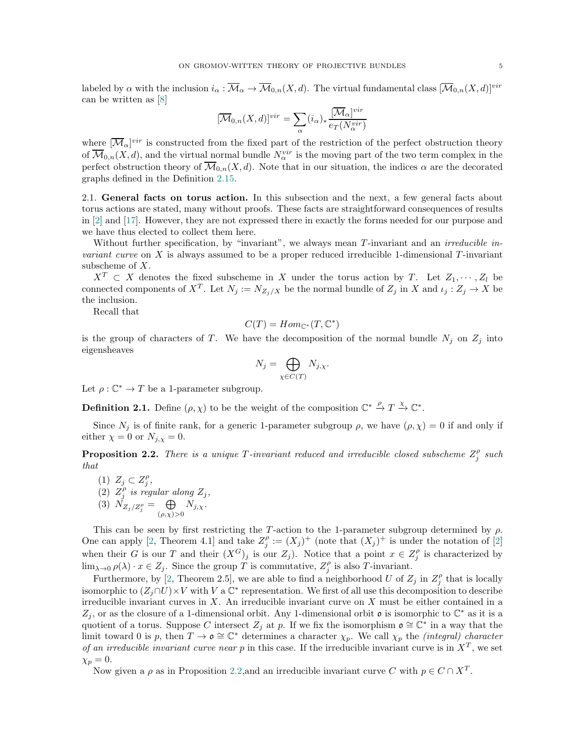<span id="page-4-2"></span>labeled by  $\alpha$  with the inclusion  $i_{\alpha} : \overline{\mathcal{M}}_{\alpha} \to \overline{\mathcal{M}}_{0,n}(X, d)$ . The virtual fundamental class  $[\overline{\mathcal{M}}_{0,n}(X, d)]^{vir}$ can be written as [\[8\]](#page-18-13)

$$
[\overline{\mathcal{M}}_{0,n}(X,d)]^{vir} = \sum_{\alpha} (i_{\alpha})_{*} \frac{[\overline{\mathcal{M}}_{\alpha}]^{vir}}{e_{T}(N_{\alpha}^{vir})}
$$

where  $[\overline{\mathcal{M}}_{\alpha}]^{vir}$  is constructed from the fixed part of the restriction of the perfect obstruction theory of  $\overline{\mathcal{M}}_{0,n}(X,d)$ , and the virtual normal bundle  $N_{\alpha}^{vir}$  is the moving part of the two term complex in the perfect obstruction theory of  $\overline{\mathcal{M}}_{0,n}(X,d)$ . Note that in our situation, the indices  $\alpha$  are the decorated graphs defined in the Definition [2.15.](#page-6-1)

<span id="page-4-0"></span>2.1. General facts on torus action. In this subsection and the next, a few general facts about torus actions are stated, many without proofs. These facts are straightforward consequences of results in [\[2\]](#page-18-14) and [\[17\]](#page-18-15). However, they are not expressed there in exactly the forms needed for our purpose and we have thus elected to collect them here.

Without further specification, by "invariant", we always mean T-invariant and an *irreducible invariant curve* on X is always assumed to be a proper reduced irreducible 1-dimensional  $T$ -invariant subscheme of X.

 $X^T \subset X$  denotes the fixed subscheme in X under the torus action by T. Let  $Z_1, \cdots, Z_l$  be connected components of  $X^T$ . Let  $N_j := N_{Z_j/X}$  be the normal bundle of  $Z_j$  in X and  $\iota_j : Z_j \to X$  be the inclusion.

Recall that

$$
C(T) = Hom_{\mathbb{C}^*}(T, \mathbb{C}^*)
$$

is the group of characters of T. We have the decomposition of the normal bundle  $N_j$  on  $Z_j$  into eigensheaves

$$
N_j = \bigoplus_{\chi \in C(T)} N_{j,\chi}.
$$

Let  $\rho : \mathbb{C}^* \to T$  be a 1-parameter subgroup.

**Definition 2.1.** Define  $(\rho, \chi)$  to be the weight of the composition  $\mathbb{C}^* \stackrel{\rho}{\to} T \stackrel{\chi}{\to} \mathbb{C}^*$ .

Since  $N_i$  is of finite rank, for a generic 1-parameter subgroup  $\rho$ , we have  $(\rho, \chi) = 0$  if and only if either  $\chi = 0$  or  $N_{i,\chi} = 0$ .

<span id="page-4-1"></span>**Proposition 2.2.** There is a unique T-invariant reduced and irreducible closed subscheme  $Z_j^{\rho}$  such that

(1)  $Z_j \subset Z_j^{\rho}$ , (2)  $Z_j^{\rho}$  is regular along  $Z_j$ , (3)  $N_{Z_j/Z_j^{\rho}} = \bigoplus$  $(\rho,\chi)$ >0  $N_{j,\chi}$ .

This can be seen by first restricting the T-action to the 1-parameter subgroup determined by  $\rho$ . One can apply [\[2,](#page-18-14) Theorem 4.1] and take  $Z_j^{\rho} := (X_j)^+$  (note that  $(X_j)^+$  is under the notation of [\[2\]](#page-18-14) when their G is our T and their  $(X^G)_j$  is our  $Z_j$ ). Notice that a point  $x \in Z_j^{\rho}$  is characterized by  $\lim_{\lambda\to 0} \rho(\lambda) \cdot x \in Z_j$ . Since the group T is commutative,  $Z_j^{\rho}$  is also T-invariant.

Furthermore, by [\[2,](#page-18-14) Theorem 2.5], we are able to find a neighborhood U of  $Z_j$  in  $Z_j^{\rho}$  that is locally isomorphic to  $(Z_j \cap U) \times V$  with V a  $\mathbb{C}^*$  representation. We first of all use this decomposition to describe irreducible invariant curves in  $X$ . An irreducible invariant curve on  $X$  must be either contained in a Z<sub>j</sub>, or as the closure of a 1-dimensional orbit. Any 1-dimensional orbit  $\mathfrak o$  is isomorphic to  $\mathbb C^*$  as it is a quotient of a torus. Suppose C intersect  $Z_j$  at p. If we fix the isomorphism  $\mathfrak{o} \cong \mathbb{C}^*$  in a way that the limit toward 0 is p, then  $T \to \mathfrak{o} \cong \mathbb{C}^*$  determines a character  $\chi_p$ . We call  $\chi_p$  the *(integral) character* of an irreducible invariant curve near p in this case. If the irreducible invariant curve is in  $X<sup>T</sup>$ , we set  $\chi_p = 0.$ 

Now given a  $\rho$  as in Proposition [2.2,](#page-4-1) and an irreducible invariant curve C with  $p \in C \cap X^T$ .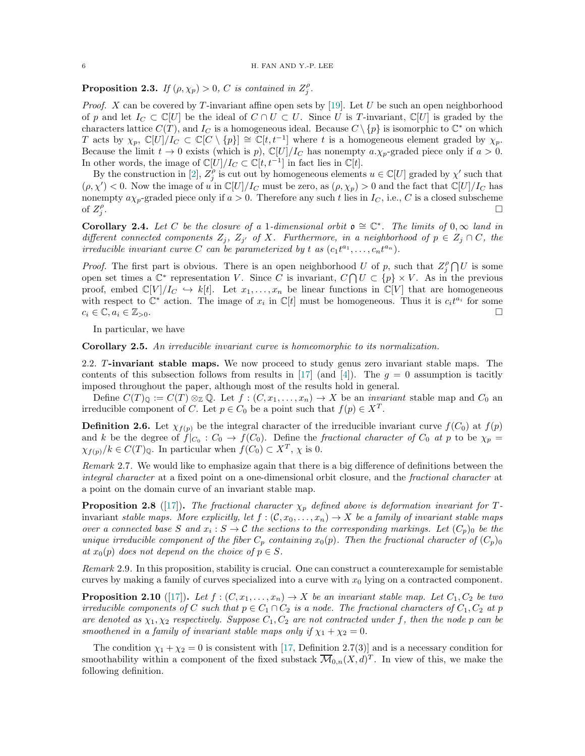# <span id="page-5-2"></span>**Proposition 2.3.** If  $(\rho, \chi_p) > 0$ , C is contained in  $Z_j^{\rho}$ .

*Proof.* X can be covered by T-invariant affine open sets by [\[19\]](#page-18-16). Let U be such an open neighborhood of p and let  $I_C \subset \mathbb{C}[U]$  be the ideal of  $C \cap U \subset U$ . Since U is T-invariant,  $\mathbb{C}[U]$  is graded by the characters lattice  $C(T)$ , and  $I_C$  is a homogeneous ideal. Because  $C \setminus \{p\}$  is isomorphic to  $\mathbb{C}^*$  on which T acts by  $\chi_p$ ,  $\mathbb{C}[U]/I_C \subset \mathbb{C}[C \setminus \{p\}] \cong \mathbb{C}[t,t^{-1}]$  where t is a homogeneous element graded by  $\chi_p$ . Because the limit  $t \to 0$  exists (which is p),  $\mathbb{C}[U]/I_C$  has nonempty  $a.\chi_p$ -graded piece only if  $a > 0$ . In other words, the image of  $\mathbb{C}[U]/I_C \subset \mathbb{C}[t, t^{-1}]$  in fact lies in  $\mathbb{C}[t]$ .

By the construction in [\[2\]](#page-18-14),  $Z_j^{\rho}$  is cut out by homogeneous elements  $u \in \mathbb{C}[U]$  graded by  $\chi'$  such that  $(\rho, \chi') < 0$ . Now the image of u in  $\mathbb{C}[U]/I_C$  must be zero, as  $(\rho, \chi_p) > 0$  and the fact that  $\mathbb{C}[U]/I_C$  has nonempty  $a\chi_p$ -graded piece only if  $a > 0$ . Therefore any such t lies in  $I_c$ , i.e., C is a closed subscheme of  $Z_j^{\rho}$ .

<span id="page-5-1"></span>**Corollary 2.4.** Let C be the closure of a 1-dimensional orbit  $\mathfrak{o} \cong \mathbb{C}^*$ . The limits of  $0, \infty$  land in different connected components  $Z_j$ ,  $Z_{j'}$  of X. Furthermore, in a neighborhood of  $p \in Z_j \cap C$ , the irreducible invariant curve C can be parameterized by t as  $(c_1t^{a_1}, \ldots, c_nt^{a_n})$ .

*Proof.* The first part is obvious. There is an open neighborhood U of p, such that  $Z_j^{\rho} \bigcap U$  is some open set times a  $\mathbb{C}^*$  representation V. Since C is invariant,  $C \cap U \subset \{p\} \times V$ . As in the previous proof, embed  $\mathbb{C}[V]/I_C \hookrightarrow k[t]$ . Let  $x_1, \ldots, x_n$  be linear functions in  $\mathbb{C}[V]$  that are homogeneous with respect to  $\mathbb{C}^*$  action. The image of  $x_i$  in  $\mathbb{C}[t]$  must be homogeneous. Thus it is  $c_i t^{a_i}$  for some  $c_i \in \mathbb{C}, a_i \in \mathbb{Z}_{>0}$ .

In particular, we have

<span id="page-5-0"></span>Corollary 2.5. An irreducible invariant curve is homeomorphic to its normalization.

2.2. T-invariant stable maps. We now proceed to study genus zero invariant stable maps. The contents of this subsection follows from results in [\[17\]](#page-18-15) (and [\[4\]](#page-18-17)). The  $q = 0$  assumption is tacitly imposed throughout the paper, although most of the results hold in general.

Define  $C(T)_{\mathbb{Q}} := C(T) \otimes_{\mathbb{Z}} \mathbb{Q}$ . Let  $f : (C, x_1, \ldots, x_n) \to X$  be an *invariant* stable map and  $C_0$  an irreducible component of C. Let  $p \in C_0$  be a point such that  $f(p) \in X^T$ .

**Definition 2.6.** Let  $\chi_{f(p)}$  be the integral character of the irreducible invariant curve  $f(C_0)$  at  $f(p)$ and k be the degree of  $f|_{C_0}: C_0 \to f(C_0)$ . Define the fractional character of  $C_0$  at p to be  $\chi_p =$  $\chi_{f(p)}/k \in C(T)_{\mathbb{Q}}$ . In particular when  $f(C_0) \subset X^T$ ,  $\chi$  is 0.

Remark 2.7. We would like to emphasize again that there is a big difference of definitions between the integral character at a fixed point on a one-dimensional orbit closure, and the fractional character at a point on the domain curve of an invariant stable map.

**Proposition 2.8** ([\[17\]](#page-18-15)). The fractional character  $\chi_p$  defined above is deformation invariant for Tinvariant stable maps. More explicitly, let  $f : (\mathcal{C}, x_0, \ldots, x_n) \to X$  be a family of invariant stable maps over a connected base S and  $x_i : S \to C$  the sections to the corresponding markings. Let  $(C_p)_0$  be the unique irreducible component of the fiber  $C_p$  containing  $x_0(p)$ . Then the fractional character of  $(C_p)_0$ at  $x_0(p)$  does not depend on the choice of  $p \in S$ .

Remark 2.9. In this proposition, stability is crucial. One can construct a counterexample for semistable curves by making a family of curves specialized into a curve with  $x<sub>0</sub>$  lying on a contracted component.

**Proposition 2.10** ([\[17\]](#page-18-15)). Let  $f : (C, x_1, \ldots, x_n) \to X$  be an invariant stable map. Let  $C_1, C_2$  be two irreducible components of C such that  $p \in C_1 \cap C_2$  is a node. The fractional characters of  $C_1, C_2$  at p are denoted as  $\chi_1, \chi_2$  respectively. Suppose  $C_1, C_2$  are not contracted under f, then the node p can be smoothened in a family of invariant stable maps only if  $\chi_1 + \chi_2 = 0$ .

The condition  $\chi_1 + \chi_2 = 0$  is consistent with [\[17,](#page-18-15) Definition 2.7(3)] and is a necessary condition for smoothability within a component of the fixed substack  $\overline{\mathcal{M}}_{0,n}(X,d)^T$ . In view of this, we make the following definition.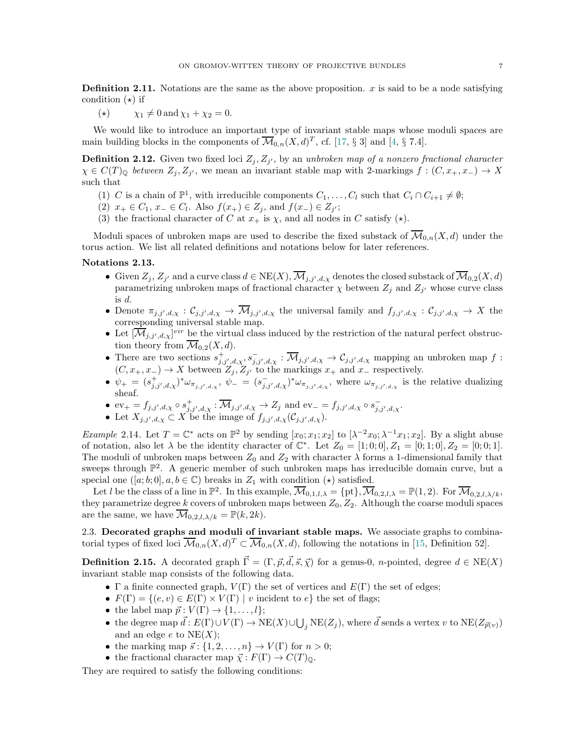<span id="page-6-3"></span>**Definition 2.11.** Notations are the same as the above proposition.  $x$  is said to be a node satisfying condition  $(\star)$  if

(\*)  $\chi_1 \neq 0$  and  $\chi_1 + \chi_2 = 0$ .

We would like to introduce an important type of invariant stable maps whose moduli spaces are main building blocks in the components of  $\overline{\mathcal{M}}_{0,n}(X,d)^T$ , cf. [\[17,](#page-18-15) § 3] and [\[4,](#page-18-17) § 7.4].

**Definition 2.12.** Given two fixed loci  $Z_j, Z_{j'}$ , by an unbroken map of a nonzero fractional character  $\chi \in C(T)_{\mathbb{Q}}$  between  $Z_j, Z_{j'}$ , we mean an invariant stable map with 2-markings  $f : (C, x_+, x_-) \to X$ such that

- (1) C is a chain of  $\mathbb{P}^1$ , with irreducible components  $C_1, \ldots, C_l$  such that  $C_i \cap C_{i+1} \neq \emptyset$ ;
- (2)  $x_+ \in C_1$ ,  $x_- \in C_l$ . Also  $f(x_+) \in Z_j$ , and  $f(x_-) \in Z_{j'}$ ;
- (3) the fractional character of C at  $x_+$  is  $\chi$ , and all nodes in C satisfy ( $\star$ ).

Moduli spaces of unbroken maps are used to describe the fixed substack of  $\overline{\mathcal{M}}_{0,n}(X, d)$  under the torus action. We list all related definitions and notations below for later references.

## <span id="page-6-2"></span>Notations 2.13.

- Given  $Z_j$ ,  $Z_{j'}$  and a curve class  $d \in \text{NE}(X)$ ,  $\mathcal{M}_{j,j',d,\chi}$  denotes the closed substack of  $\mathcal{M}_{0,2}(X,d)$ parametrizing unbroken maps of fractional character  $\chi$  between  $Z_j$  and  $Z_{j'}$  whose curve class is d.
- Denote  $\pi_{j,j',d,\chi}: \mathcal{C}_{j,j',d,\chi} \to \mathcal{M}_{j,j',d,\chi}$  the universal family and  $f_{j,j',d,\chi}: \mathcal{C}_{j,j',d,\chi} \to X$  the corresponding universal stable map.
- Let  $[\overline{\mathcal{M}}_{j,j',d,\chi}]^{vir}$  be the virtual class induced by the restriction of the natural perfect obstruction theory from  $\overline{\mathcal{M}}_{0,2}(X,d)$ .
- There are two sections  $s^+_{j,j',d,\chi}, s^-_{j,j',d,\chi} : \overline{\mathcal{M}}_{j,j',d,\chi} \to \mathcal{C}_{j,j',d,\chi}$  mapping an unbroken map f:  $(C, x_+, x_-) \to X$  between  $Z_j, Z_{j'}$  to the markings  $x_+$  and  $x_-$  respectively.
- $\psi_+ = (s_{j,j',d,\chi}^+)^* \omega_{\pi_{j,j',d,\chi}}, \psi_- = (s_{j,j',d,\chi}^-)^* \omega_{\pi_{j,j',d,\chi}},$  where  $\omega_{\pi_{j,j',d,\chi}}$  is the relative dualizing sheaf.
- $ev_+ = f_{j,j',d,\chi} \circ s^+_{j,j',d,\chi} : \overline{\mathcal{M}}_{j,j',d,\chi} \to Z_j \text{ and } ev_- = f_{j,j',d,\chi} \circ s^-_{j,j',d,\chi}.$
- Let  $X_{j,j',d,\chi} \subset X$  be the image of  $f_{j,j',d,\chi}(\mathcal{C}_{j,j',d,\chi})$ .

*Example* 2.14. Let  $T = \mathbb{C}^*$  acts on  $\mathbb{P}^2$  by sending  $[x_0; x_1; x_2]$  to  $[\lambda^{-2}x_0; \lambda^{-1}x_1; x_2]$ . By a slight abuse of notation, also let  $\lambda$  be the identity character of  $\mathbb{C}^*$ . Let  $Z_0 = [1; 0; 0], Z_1 = [0; 1; 0], Z_2 = [0; 0; 1].$ The moduli of unbroken maps between  $Z_0$  and  $Z_2$  with character  $\lambda$  forms a 1-dimensional family that sweeps through  $\mathbb{P}^2$ . A generic member of such unbroken maps has irreducible domain curve, but a special one  $([a; b; 0], a, b \in \mathbb{C})$  breaks in  $Z_1$  with condition  $(\star)$  satisfied.

Let l be the class of a line in  $\mathbb{P}^2$ . In this example,  $\overline{\mathcal{M}}_{0,1,l,\lambda} = \{pt\}, \overline{\mathcal{M}}_{0,2,l,\lambda} = \mathbb{P}(1,2)$ . For  $\overline{\mathcal{M}}_{0,2,l,\lambda/k}$ , they parametrize degree k covers of unbroken maps between  $Z_0, Z_2$ . Although the coarse moduli spaces are the same, we have  $\overline{\mathcal{M}}_{0,2,l,\lambda/k} = \mathbb{P}(k, 2k)$ .

<span id="page-6-0"></span>2.3. Decorated graphs and moduli of invariant stable maps. We associate graphs to combinatorial types of fixed loci  $\overline{\mathcal{M}}_{0,n}(X,d)^T \subset \overline{\mathcal{M}}_{0,n}(X,d)$ , following the notations in [\[15,](#page-18-18) Definition 52].

<span id="page-6-1"></span>**Definition 2.15.** A decorated graph  $\vec{\Gamma} = (\Gamma, \vec{p}, \vec{d}, \vec{s}, \vec{\chi})$  for a genus-0, *n*-pointed, degree  $d \in \text{NE}(X)$ invariant stable map consists of the following data.

- Γ a finite connected graph,  $V(\Gamma)$  the set of vertices and  $E(\Gamma)$  the set of edges;
- $F(\Gamma) = \{(e, v) \in E(\Gamma) \times V(\Gamma) \mid v \text{ incident to } e\}$  the set of flags;
- the label map  $\vec{p} : V(\Gamma) \to \{1, \ldots, l\};$
- the degree map  $\vec{d}$  :  $E(\Gamma) \cup V(\Gamma) \to \text{NE}(X) \cup \bigcup_j \text{NE}(Z_j)$ , where  $\vec{d}$  sends a vertex v to  $\text{NE}(Z_{\vec{p}(v)})$ and an edge  $e$  to  $NE(X);$
- the marking map  $\vec{s}$ :  $\{1, 2, ..., n\}$   $\rightarrow$   $V(\Gamma)$  for  $n > 0$ ;
- the fractional character map  $\vec{\chi}: F(\Gamma) \to C(T)_{\mathbb{Q}}$ .

They are required to satisfy the following conditions: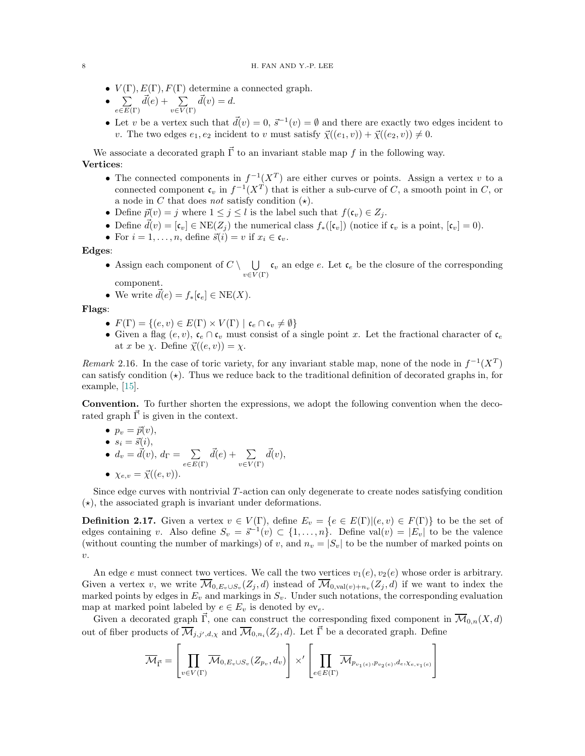•  $V(\Gamma), E(\Gamma), F(\Gamma)$  determine a connected graph.

• 
$$
\sum_{e \in E(\Gamma)} \vec{d}(e) + \sum_{v \in V(\Gamma)} \vec{d}(v) = d.
$$

• Let v be a vertex such that  $\vec{d}(v) = 0$ ,  $\vec{s}^{-1}(v) = \emptyset$  and there are exactly two edges incident to v. The two edges  $e_1, e_2$  incident to v must satisfy  $\vec{\chi}((e_1, v)) + \vec{\chi}((e_2, v)) \neq 0$ .

We associate a decorated graph  $\vec{\Gamma}$  to an invariant stable map f in the following way. Vertices:

- The connected components in  $f^{-1}(X^T)$  are either curves or points. Assign a vertex v to a connected component  $\mathfrak{c}_v$  in  $f^{-1}(X^T)$  that is either a sub-curve of C, a smooth point in C, or a node in C that does not satisfy condition  $(\star)$ .
- Define  $\vec{p}(v) = j$  where  $1 \leq j \leq l$  is the label such that  $f(\mathfrak{c}_v) \in Z_j$ .
- Define  $\vec{d}(v) = [\mathfrak{c}_v] \in \text{NE}(Z_i)$  the numerical class  $f_*([\mathfrak{c}_v])$  (notice if  $\mathfrak{c}_v$  is a point,  $[\mathfrak{c}_v] = 0$ ).
- For  $i = 1, \ldots, n$ , define  $\vec{s}(i) = v$  if  $x_i \in \mathfrak{c}_v$ .

Edges:

• Assign each component of  $C \setminus \bigcup$  $\bigcup_{v \in V(\Gamma)} \mathfrak{c}_v$  an edge e. Let  $\mathfrak{c}_e$  be the closure of the corresponding component.

• We write 
$$
\vec{d}(e) = f_*[c_e] \in \text{NE}(X)
$$
.

Flags:

- $F(\Gamma) = \{(e, v) \in E(\Gamma) \times V(\Gamma) \mid \mathfrak{c}_e \cap \mathfrak{c}_v \neq \emptyset\}$
- Given a flag  $(e, v)$ ,  $c_e \cap c_v$  must consist of a single point x. Let the fractional character of  $c_e$ at x be  $\chi$ . Define  $\vec{\chi}((e, v)) = \chi$ .

Remark 2.16. In the case of toric variety, for any invariant stable map, none of the node in  $f^{-1}(X^T)$ can satisfy condition  $(\star)$ . Thus we reduce back to the traditional definition of decorated graphs in, for example, [\[15\]](#page-18-18).

Convention. To further shorten the expressions, we adopt the following convention when the decorated graph  $\vec{\Gamma}$  is given in the context.

\n- $$
p_v = \vec{p}(v),
$$
\n- $s_i = \vec{s}(i),$
\n- $d_v = \vec{d}(v), d_\Gamma = \sum_{e \in E(\Gamma)} \vec{d}(e) + \sum_{v \in V(\Gamma)} \vec{d}(v),$
\n

•  $\chi_{e,v} = \vec{\chi}((e, v)).$ 

Since edge curves with nontrivial  $T$ -action can only degenerate to create nodes satisfying condition  $(\star)$ , the associated graph is invariant under deformations.

**Definition 2.17.** Given a vertex  $v \in V(\Gamma)$ , define  $E_v = \{e \in E(\Gamma) | (e, v) \in F(\Gamma) \}$  to be the set of edges containing v. Also define  $S_v = \vec{s}^{-1}(v) \subset \{1, \ldots, n\}$ . Define val $(v) = |E_v|$  to be the valence (without counting the number of markings) of v, and  $n_v = |S_v|$  to be the number of marked points on  $\upsilon$ .

An edge e must connect two vertices. We call the two vertices  $v_1(e), v_2(e)$  whose order is arbitrary. Given a vertex v, we write  $\mathcal{M}_{0,E_v\cup S_v}(Z_j,d)$  instead of  $\mathcal{M}_{0,\text{val}(v)+n_v}(Z_j,d)$  if we want to index the marked points by edges in  $E_v$  and markings in  $S_v$ . Under such notations, the corresponding evaluation map at marked point labeled by  $e \in E_v$  is denoted by  $ev_e$ .

Given a decorated graph  $\vec{\Gamma}$ , one can construct the corresponding fixed component in  $\overline{\mathcal{M}}_{0,n}(X, d)$ out of fiber products of  $\overline{\mathcal{M}}_{j,j',d,\chi}$  and  $\overline{\mathcal{M}}_{0,n_i}(Z_j,d)$ . Let  $\vec{\Gamma}$  be a decorated graph. Define

$$
\overline{\mathcal{M}}_{\vec{\Gamma}} = \left[ \prod_{v \in V(\Gamma)} \overline{\mathcal{M}}_{0, E_v \cup S_v}(Z_{p_v}, d_v) \right] \times' \left[ \prod_{e \in E(\Gamma)} \overline{\mathcal{M}}_{p_{v_1(e)}, p_{v_2(e)}, d_e, \chi_{e, v_1(e)}} \right]
$$

<span id="page-7-0"></span>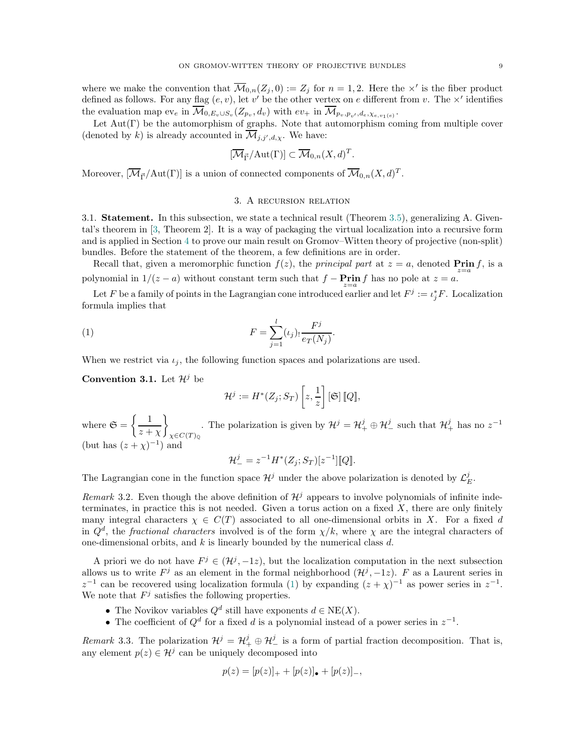<span id="page-8-4"></span>where we make the convention that  $\overline{\mathcal{M}}_{0,n}(Z_j,0) := Z_j$  for  $n = 1,2$ . Here the  $\times'$  is the fiber product defined as follows. For any flag  $(e, v)$ , let v' be the other vertex on e different from v. The  $\times'$  identifies the evaluation map  $ev_e$  in  $\mathcal{M}_{0,E_v \cup S_v}(Z_{p_v}, d_v)$  with  $ev_+$  in  $\mathcal{M}_{p_v, p_{v'}, d_e, \chi_{e,v_1(e)}}$ .

Let  $Aut(\Gamma)$  be the automorphism of graphs. Note that automorphism coming from multiple cover (denoted by k) is already accounted in  $\mathcal{M}_{j,j',d,\chi}$ . We have:

$$
[\overline{\mathcal{M}}_{\vec{\Gamma}}/\mathrm{Aut}(\Gamma)] \subset \overline{\mathcal{M}}_{0,n}(X,d)^T
$$

.

<span id="page-8-0"></span>Moreover,  $[\overline{\mathcal{M}}_{\vec{\Gamma}}/\text{Aut}(\Gamma)]$  is a union of connected components of  $\overline{\mathcal{M}}_{0,n}(X,d)^T$ .

## 3. A recursion relation

<span id="page-8-1"></span>3.1. Statement. In this subsection, we state a technical result (Theorem [3.5\)](#page-9-0), generalizing A. Givental's theorem in [\[3,](#page-18-7) Theorem 2]. It is a way of packaging the virtual localization into a recursive form and is applied in Section [4](#page-14-0) to prove our main result on Gromov–Witten theory of projective (non-split) bundles. Before the statement of the theorem, a few definitions are in order.

Recall that, given a meromorphic function  $f(z)$ , the *principal part* at  $z = a$ , denoted **Prin** f, is a polynomial in  $1/(z-a)$  without constant term such that  $f - \operatorname{Pr}_{z=a} f$  has no pole at  $z = a$ .

Let F be a family of points in the Lagrangian cone introduced earlier and let  $F^j := \iota_j^* F$ . Localization formula implies that

(1) 
$$
F = \sum_{j=1}^{l} (\iota_j)_! \frac{F^j}{e_T(N_j)}.
$$

When we restrict via  $\iota_i$ , the following function spaces and polarizations are used.

<span id="page-8-2"></span>**Convention 3.1.** Let  $\mathcal{H}^j$  be

<span id="page-8-3"></span>
$$
\mathcal{H}^j := H^*(Z_j; S_T) \left[ z, \frac{1}{z} \right] [\mathfrak{S}] [Q],
$$

where  $\mathfrak{S} = \left\{ \frac{1}{\sqrt{1 - \frac{1}{\lambda}}}\right\}$  $z + \chi$  $\mathcal{L}$  $_{\chi \in C(T)_{\mathbb{Q}}}$ . The polarization is given by  $\mathcal{H}^j = \mathcal{H}^j_+ \oplus \mathcal{H}^j_-$  such that  $\mathcal{H}^j_+$  has no  $z^{-1}$ (but has  $(z + \chi)^{-1}$ ) and

$$
\mathcal{H}^{j}_{-} = z^{-1} H^{*}(Z_{j}; S_{T})[z^{-1}][[Q]].
$$

The Lagrangian cone in the function space  $\mathcal{H}^j$  under the above polarization is denoted by  $\mathcal{L}^j_E$ .

Remark 3.2. Even though the above definition of  $\mathcal{H}^j$  appears to involve polynomials of infinite indeterminates, in practice this is not needed. Given a torus action on a fixed  $X$ , there are only finitely many integral characters  $\chi \in C(T)$  associated to all one-dimensional orbits in X. For a fixed d in  $Q^d$ , the *fractional characters* involved is of the form  $\chi/k$ , where  $\chi$  are the integral characters of one-dimensional orbits, and  $k$  is linearly bounded by the numerical class  $d$ .

A priori we do not have  $F^j \in (H^j, -1z)$ , but the localization computation in the next subsection allows us to write  $F^j$  as an element in the formal neighborhood  $(\mathcal{H}^j, -1z)$ . F as a Laurent series in  $z^{-1}$  can be recovered using localization formula [\(1\)](#page-8-3) by expanding  $(z + \chi)^{-1}$  as power series in  $z^{-1}$ . We note that  $F^j$  satisfies the following properties.

- The Novikov variables  $Q^d$  still have exponents  $d \in \text{NE}(X)$ .
- The coefficient of  $Q^d$  for a fixed d is a polynomial instead of a power series in  $z^{-1}$ .

Remark 3.3. The polarization  $\mathcal{H}^j = \mathcal{H}^j_+ \oplus \mathcal{H}^j_-$  is a form of partial fraction decomposition. That is, any element  $p(z) \in \mathcal{H}^j$  can be uniquely decomposed into

$$
p(z) = [p(z)]_+ + [p(z)]_\bullet + [p(z)]_-,
$$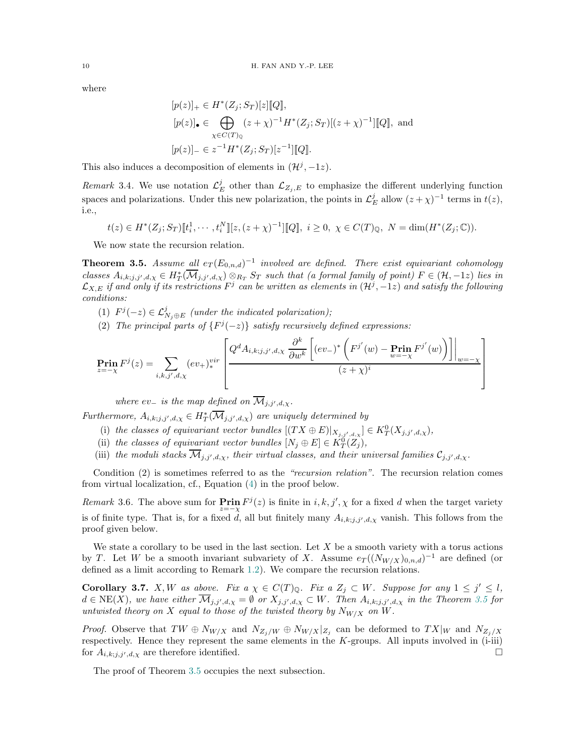where

$$
[p(z)]_+ \in H^*(Z_j; S_T)[z][Q],
$$
  
\n
$$
[p(z)]_\bullet \in \bigoplus_{\chi \in C(T)_\mathbb{Q}} (z + \chi)^{-1} H^*(Z_j; S_T)[(z + \chi)^{-1}][Q],
$$
 and  
\n
$$
[p(z)]_-\in z^{-1}H^*(Z_j; S_T)[z^{-1}][Q].
$$

This also induces a decomposition of elements in  $(\mathcal{H}^j, -1z)$ .

Remark 3.4. We use notation  $\mathcal{L}_{E}^{j}$  other than  $\mathcal{L}_{Z_{j},E}$  to emphasize the different underlying function spaces and polarizations. Under this new polarization, the points in  $\mathcal{L}_E^j$  allow  $(z + \chi)^{-1}$  terms in  $t(z)$ , i.e.,

$$
t(z) \in H^*(Z_j; S_T)[t_i^1, \cdots, t_i^N][z, (z+\chi)^{-1}][Q], i \ge 0, \ \chi \in C(T)_\mathbb{Q}, \ N = \dim(H^*(Z_j; \mathbb{C})).
$$

We now state the recursion relation.

<span id="page-9-0"></span>**Theorem 3.5.** Assume all  $e_T (E_{0,n,d})^{-1}$  involved are defined. There exist equivariant cohomology classes  $A_{i,k;j,j',d,\chi} \in H^*_T(\overline{\mathcal{M}}_{j,j',d,\chi}) \otimes_{R_T} S_T$  such that (a formal family of point)  $F \in (\mathcal{H},-1z)$  lies in  $\mathcal{L}_{X,E}$  if and only if its restrictions  $F^j$  can be written as elements in  $(\mathcal{H}^j, -1z)$  and satisfy the following conditions:

- (1)  $F^{j}(-z) \in \mathcal{L}_{N_j\oplus E}^{j}$  (under the indicated polarization);
- (2) The principal parts of  $\{F^j(-z)\}$  satisfy recursively defined expressions:

$$
\underset{z=-\chi}{\text{Prin}} F^j(z) = \sum_{i,k,j',d,\chi} (ev_+)^{vir}_* \left[ \frac{Q^d A_{i,k;j,j',d,\chi} \frac{\partial^k}{\partial w^k} \left[ (ev_-)^* \left( F^{j'}(w) - \underset{w=-\chi}{\text{Prin}} F^{j'}(w) \right) \right] \right]_{w=-\chi}}{(z+\chi)^i}
$$

where  $ev_$  is the map defined on  $\mathcal{M}_{j,j',d,\chi}$ .

Furthermore,  $A_{i,k;j,j',d,\chi} \in H^*_T(\overline{\mathcal{M}}_{j,j',d,\chi})$  are uniquely determined by

- (i) the classes of equivariant vector bundles  $[(TX \oplus E)|_{X_{j,j',d,\chi}}] \in K_T^0(X_{j,j',d,\chi}),$
- (ii) the classes of equivariant vector bundles  $[N_j \oplus E] \in K_T^0(Z_j)$ ,
- (iii) the moduli stacks  $\mathcal{M}_{j,j',d,\chi}$ , their virtual classes, and their universal families  $\mathcal{C}_{j,j',d,\chi}$ .

Condition (2) is sometimes referred to as the "recursion relation". The recursion relation comes from virtual localization, cf., Equation [\(4\)](#page-11-0) in the proof below.

Remark 3.6. The above sum for  $\operatorname{Prin}_z F^j(z)$  is finite in  $i, k, j', \chi$  for a fixed d when the target variety is of finite type. That is, for a fixed d, all but finitely many  $A_{i,k;j,j',d,\chi}$  vanish. This follows from the proof given below.

We state a corollary to be used in the last section. Let  $X$  be a smooth variety with a torus actions by T. Let W be a smooth invariant subvariety of X. Assume  $e_T((N_{W/X})_{0,n,d})^{-1}$  are defined (or defined as a limit according to Remark [1.2\)](#page-2-2). We compare the recursion relations.

<span id="page-9-1"></span>**Corollary 3.7.** X, W as above. Fix  $a \chi \in C(T)_{\mathbb{Q}}$ . Fix  $a Z_j \subset W$ . Suppose for any  $1 \leq j' \leq l$ ,  $d \in \text{NE}(X)$ , we have either  $\mathcal{M}_{j,j',d,\chi} = \emptyset$  or  $X_{j,j',d,\chi} \subset W$ . Then  $A_{i,k,j,j',d,\chi}$  in the Theorem [3.5](#page-9-0) for untwisted theory on X equal to those of the twisted theory by  $N_{W/X}$  on W.

*Proof.* Observe that  $TW \oplus N_{W/X}$  and  $N_{Z_j/W} \oplus N_{W/X}|_{Z_j}$  can be deformed to  $TX|_W$  and  $N_{Z_j/X}$ respectively. Hence they represent the same elements in the  $K$ -groups. All inputs involved in  $(i$ -iii) for  $A_{i,k;j,j',d,\chi}$  are therefore identified.

The proof of Theorem [3.5](#page-9-0) occupies the next subsection.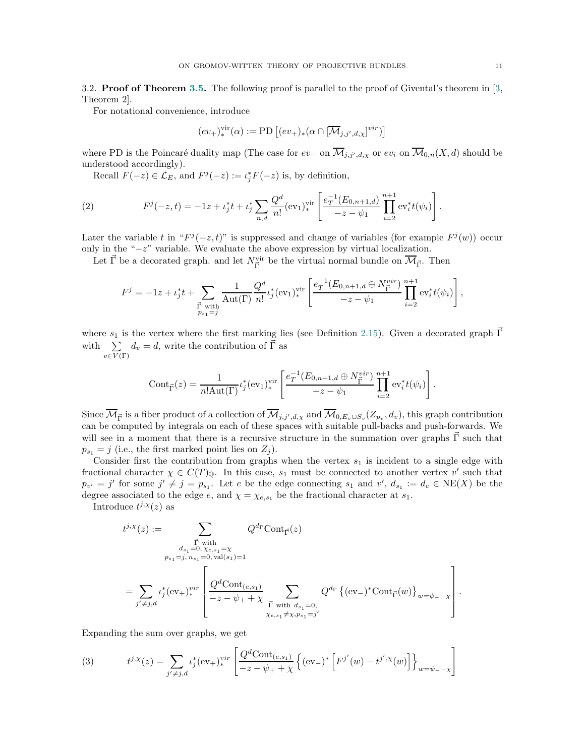<span id="page-10-3"></span><span id="page-10-0"></span>3.2. **Proof of Theorem [3.5.](#page-9-0)** The following proof is parallel to the proof of Givental's theorem in  $\lbrack 3, \rbrack$ Theorem 2].

For notational convenience, introduce

$$
(ev_+)^{\text{vir}}_*(\alpha) := \text{PD}\left[ (ev_+)_*(\alpha \cap [\overline{\mathcal{M}}_{j,j',d,\chi}]^{vir}) \right]
$$

where PD is the Poincaré duality map (The case for  $ev_-\,$  on  $\mathcal{M}_{j,j',d,\chi}$  or  $ev_i$  on  $\mathcal{M}_{0,n}(X,d)$  should be understood accordingly).

<span id="page-10-2"></span>Recall  $F(-z) \in \mathcal{L}_E$ , and  $F^j(-z) := \iota_j^* F(-z)$  is, by definition,

(2) 
$$
F^{j}(-z,t) = -1z + \iota_{j}^{*}t + \iota_{j}^{*}\sum_{n,d}\frac{Q^{d}}{n!}(\text{ev}_{1})_{*}^{\text{vir}}\left[\frac{e_{T}^{-1}(E_{0,n+1,d})}{-z-\psi_{1}}\prod_{i=2}^{n+1}\text{ev}_{i}^{*}t(\psi_{i})\right].
$$

Later the variable t in " $F^{j}(-z,t)$ " is suppressed and change of variables (for example  $F^{j}(w)$ ) occur only in the "−z" variable. We evaluate the above expression by virtual localization.

Let  $\vec{\Gamma}$  be a decorated graph. and let  $N_{\vec{\Gamma}}^{\text{vir}}$  be the virtual normal bundle on  $\overline{\mathcal{M}}_{\vec{\Gamma}}$ . Then

$$
F^{j} = -1z + \iota_{j}^{*}t + \sum_{\substack{\vec{\Gamma} \text{ with } \\ p_{s_{1}} = j}} \frac{1}{\text{Aut}(\Gamma)} \frac{Q^{d}}{n!} \iota_{j}^{*}(\text{ev}_{1})_{*}^{\text{vir}} \left[ \frac{e_{T}^{-1}(E_{0,n+1,d} \oplus N_{\vec{\Gamma}}^{vir})}{-z - \psi_{1}} \prod_{i=2}^{n+1} \text{ev}_{i}^{*}t(\psi_{i}) \right],
$$

where  $s_1$  is the vertex where the first marking lies (see Definition [2.15\)](#page-6-1). Given a decorated graph  $\Gamma$ with  $\sum$  $d_v = d$ , write the contribution of  $\vec{\Gamma}$  as

 $v\in V(\Gamma)$ 

$$
Cont_{\vec{\Gamma}}(z) = \frac{1}{n!Aut(\Gamma)} \iota_j^*(ev_1)_{*}^{vir} \left[ \frac{e_T^{-1}(E_{0,n+1,d} \oplus N_{\vec{\Gamma}}^{vir})}{-z - \psi_1} \prod_{i=2}^{n+1} ev_i^* t(\psi_i) \right].
$$

Since  $\mathcal{M}_{\vec{\Gamma}}$  is a fiber product of a collection of  $\mathcal{M}_{j,j',d,\chi}$  and  $\mathcal{M}_{0,E_v\cup S_v}(Z_{p_v},d_v)$ , this graph contribution can be computed by integrals on each of these spaces with suitable pull-backs and push-forwards. We will see in a moment that there is a recursive structure in the summation over graphs  $\vec{\Gamma}$  such that  $p_{s_1} = j$  (i.e., the first marked point lies on  $Z_j$ ).

Consider first the contribution from graphs when the vertex  $s<sub>1</sub>$  is incident to a single edge with fractional character  $\chi \in C(T)_{\mathbb{Q}}$ . In this case,  $s_1$  must be connected to another vertex v' such that  $p_{v'} = j'$  for some  $j' \neq j = p_{s_1}$ . Let e be the edge connecting  $s_1$  and  $v'$ ,  $d_{s_1} := d_e \in \text{NE}(X)$  be the degree associated to the edge e, and  $\chi = \chi_{e,s_1}$  be the fractional character at  $s_1$ .

Introduce  $t^{j,\chi}(z)$  as

$$
t^{j,\chi}(z) := \sum_{\substack{\vec{\Gamma} \text{ with}\\ a_{s_1} = 0, \chi_{e,s_1} = \chi\\ p_{s_1} = j, n_{s_1} = 0, \text{ val}(s_1) = 1}} Q^{d_{\Gamma}} \text{Cont}_{\vec{\Gamma}}(z)
$$

$$
= \sum_{j' \neq j,d} \iota_j^*(\text{ev}_+)^{vir}_* \left[ \frac{Q^d \text{Cont}_{(e,s_1)}}{-z - \psi_+ + \chi} \sum_{\substack{\vec{\Gamma} \text{ with } d_{s_1} = 0, \\ \chi_{e,s_1} \neq \chi, p_{s_1} = j'}} Q^{d_{\Gamma}} \{(\text{ev}_-)^* \text{Cont}_{\vec{\Gamma}}(w)\}_{w = \psi_- - \chi} \right].
$$

Expanding the sum over graphs, we get

<span id="page-10-1"></span>(3) 
$$
t^{j,x}(z) = \sum_{j' \neq j,d} t_j^*(ev_+)^{vir}_* \left[ \frac{Q^d \text{Cont}_{(e,s_1)}}{-z - \psi_+ + \chi} \left\{ (ev_-)^* \left[ F^{j'}(w) - t^{j',x}(w) \right] \right\}_{w = \psi_- - \chi} \right]
$$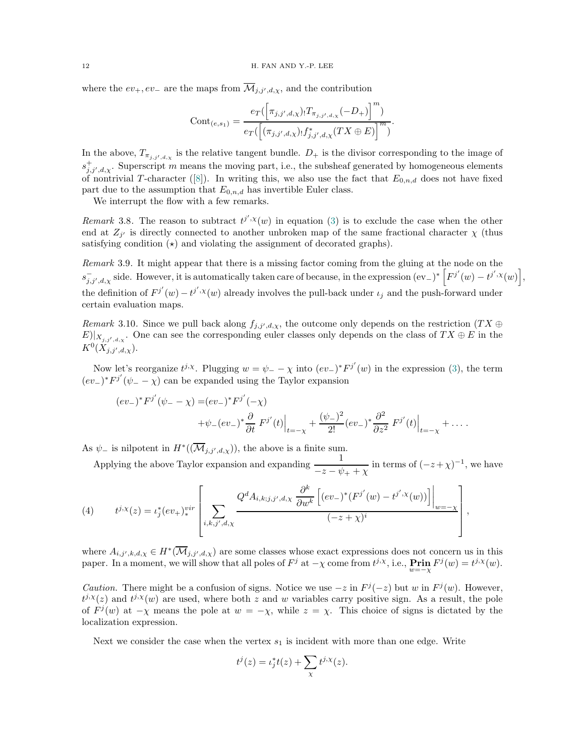<span id="page-11-1"></span>where the  $ev_+, ev_-\$  are the maps from  $\mathcal{M}_{j,j',d,\chi}$ , and the contribution

$$
Cont_{(e,s_1)} = \frac{e_T(\left[\pi_{j,j',d,\chi}\right] \cdot T_{\pi_{j,j',d,\chi}}(-D_+)\right]^m)}{e_T(\left[(\pi_{j,j',d,\chi}\right] \cdot f_{j,j',d,\chi}^*(TX \oplus E)\right]^m)}.
$$

In the above,  $T_{\pi_{j,j',d,\chi}}$  is the relative tangent bundle.  $D_+$  is the divisor corresponding to the image of  $s_{j,j',d,\chi}^+$ . Superscript m means the moving part, i.e., the subsheaf generated by homogeneous elements ofnontrivial T-character ([\[8\]](#page-18-13)). In writing this, we also use the fact that  $E_{0,n,d}$  does not have fixed part due to the assumption that  $E_{0,n,d}$  has invertible Euler class.

We interrupt the flow with a few remarks.

Remark 3.8. The reason to subtract  $t^{j',\chi}(w)$  in equation [\(3\)](#page-10-1) is to exclude the case when the other end at  $Z_{j'}$  is directly connected to another unbroken map of the same fractional character  $\chi$  (thus satisfying condition  $\star$  and violating the assignment of decorated graphs).

Remark 3.9. It might appear that there is a missing factor coming from the gluing at the node on the  $s_{j,j',d,\chi}^{-1}$  side. However, it is automatically taken care of because, in the expression  $\left(\mathrm{ev}_{-}\right)^{*}\left[F^{j'}(w)-t^{j',\chi}(w)\right],$ the definition of  $F^{j'}(w) - t^{j',\chi}(w)$  already involves the pull-back under  $\iota_j$  and the push-forward under certain evaluation maps.

Remark 3.10. Since we pull back along  $f_{j,j',d,\chi}$ , the outcome only depends on the restriction  $(T X \oplus$  $E|X_{j,j',d,x}$ . One can see the corresponding euler classes only depends on the class of  $TX \oplus E$  in the  $K^0(X_{j,j',d,\chi}).$ 

Now let's reorganize  $t^{j,\chi}$ . Plugging  $w = \psi_- - \chi$  into  $(ev_-)^* F^{j'}(w)$  in the expression [\(3\)](#page-10-1), the term  $(ev_+)^*F^{j'}(\psi_--\chi)$  can be expanded using the Taylor expansion

$$
(ev_{-})^* F^{j'}(\psi_{-} - \chi) = (ev_{-})^* F^{j'}(-\chi) + \psi_{-}(ev_{-})^* \frac{\partial}{\partial t} F^{j'}(t) \Big|_{t=-\chi} + \frac{(\psi_{-})^2}{2!} (ev_{-})^* \frac{\partial^2}{\partial z^2} F^{j'}(t) \Big|_{t=-\chi} + \dots
$$

As  $\psi_-$  is nilpotent in  $H^*(\overline{\mathcal{M}}_{j,j',d,\chi})$ , the above is a finite sum.

Applying the above Taylor expansion and expanding  $\frac{1}{-z - \psi_+ + \chi}$  in terms of  $(-z + \chi)^{-1}$ , we have

<span id="page-11-0"></span>(4) 
$$
t^{j,x}(z) = \iota_j^*(ev_+)^{vir}_* \left[ \sum_{i,k,j',d,\chi} \frac{Q^d A_{i,k;j,j',d,\chi} \frac{\partial^k}{\partial w^k} \left[ (ev_-)^*(F^{j'}(w) - t^{j',\chi}(w)) \right] \Big|_{w=-\chi}}{(-z+\chi)^i} \right],
$$

where  $A_{i,j',k,d,\chi} \in H^*(\overline{\mathcal{M}}_{j,j',d,\chi})$  are some classes whose exact expressions does not concern us in this paper. In a moment, we will show that all poles of  $F^j$  at  $-\chi$  come from  $t^{j,\chi}$ , i.e.,  $\operatorname{Prin}_w F^j(w) = t^{j,\chi}(w)$ .

*Caution*. There might be a confusion of signs. Notice we use  $-z$  in  $F<sup>j</sup>(-z)$  but w in  $F<sup>j</sup>(w)$ . However,  $t^{j,\chi}(z)$  and  $t^{j,\chi}(w)$  are used, where both z and w variables carry positive sign. As a result, the pole of  $F^j(w)$  at  $-\chi$  means the pole at  $w = -\chi$ , while  $z = \chi$ . This choice of signs is dictated by the localization expression.

Next we consider the case when the vertex  $s_1$  is incident with more than one edge. Write

$$
t^{j}(z) = \iota_{j}^{*}t(z) + \sum_{\chi} t^{j,\chi}(z).
$$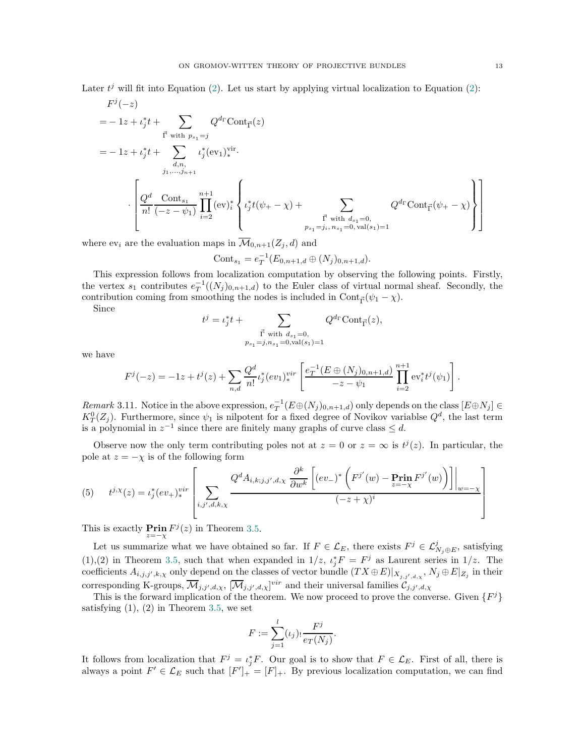Later  $t^j$  will fit into Equation [\(2\)](#page-10-2). Let us start by applying virtual localization to Equation (2):

$$
F^{j}(-z)
$$
\n
$$
= -1z + \iota_{j}^{*}t + \sum_{\vec{\mathbf{i}} \text{ with } p_{s_{1}}=j} Q^{d_{\Gamma}}\text{Cont}_{\vec{\mathbf{i}}}(z)
$$
\n
$$
= -1z + \iota_{j}^{*}t + \sum_{d,n, \atop j_{1},...,j_{n+1}} \iota_{j}^{*}(\text{ev}_{1})_{*}^{\text{vir}}.
$$
\n
$$
\cdot \left[ \frac{Q^{d}}{n!} \frac{\text{Cont}_{s_{1}}}{(-z - \psi_{1})} \prod_{i=2}^{n+1} (\text{ev}_{i})_{i}^{*} \left\{ \iota_{j}^{*}t(\psi_{+} - \chi) + \sum_{\vec{\mathbf{i}} \text{ with } d_{s_{1}}=0, \atop p_{s_{1}}=j_{i}, n_{s_{1}}=0, \text{ val}(s_{1})=1} Q^{d_{\Gamma}}\text{Cont}_{\vec{\mathbf{i}}}( \psi_{+} - \chi) \right\} \right]
$$

where  $ev_i$  are the evaluation maps in  $\overline{\mathcal{M}}_{0,n+1}(Z_i, d)$  and

Cont<sub>s1</sub> = 
$$
e_T^{-1}(E_{0,n+1,d} \oplus (N_j)_{0,n+1,d}).
$$

This expression follows from localization computation by observing the following points. Firstly, the vertex  $s_1$  contributes  $e_T^{-1}((N_j)_{0,n+1,d})$  to the Euler class of virtual normal sheaf. Secondly, the contribution coming from smoothing the nodes is included in  $Cont_{\vec{\Gamma}}(\psi_1 - \chi)$ .

Since

$$
t^j = \iota_j^* t + \sum_{\substack{\vec{\Gamma} \text{ with } d_{s_1} = 0, \\ p_{s_1} = j, n_{s_1} = 0, \text{val}(s_1) = 1}} Q^{d_{\Gamma}} \text{Cont}_{\vec{\Gamma}}(z),
$$

we have

$$
F^{j}(-z) = -1z + t^{j}(z) + \sum_{n,d} \frac{Q^{d}}{n!} \iota_{j}^{*}(ev_{1})_{*}^{vir} \left[ \frac{e_{T}^{-1}(E \oplus (N_{j})_{0,n+1,d})}{-z - \psi_{1}} \prod_{i=2}^{n+1} \mathrm{ev}_{i}^{*} t^{j}(\psi_{1}) \right].
$$

Remark 3.11. Notice in the above expression,  $e_T^{-1}(E \oplus (N_j)_{0,n+1,d})$  only depends on the class  $[E \oplus N_j] \in$  $K_T^0(Z_j)$ . Furthermore, since  $\psi_1$  is nilpotent for a fixed degree of Novikov variablse  $Q^d$ , the last term is a polynomial in  $z^{-1}$  since there are finitely many graphs of curve class  $\leq d$ .

Observe now the only term contributing poles not at  $z = 0$  or  $z = \infty$  is  $t^{j}(z)$ . In particular, the pole at  $z = -\chi$  is of the following form

(5) 
$$
t^{j,\chi}(z) = \iota_j^*(ev_+)^{vir}_* \left[ \sum_{i,j',d,k,\chi} \frac{Q^d A_{i,k;j,j',d,\chi} \frac{\partial^k}{\partial w^k} \left[ (ev_-)^* \left( F^{j'}(w) - \operatorname{Prin}_{z=-\chi} F^{j'}(w) \right) \right] \right]_{w=-\chi} \left[ (ev_+)^{ij} \left( \operatorname{Prin}_{z=-\chi} F^{j'}(w) - \operatorname{Prin}_{z=-\chi} F^{j'}(w) \right) \right] \right]
$$

This is exactly **Prin**  $F^j(z)$  in Theorem [3.5.](#page-9-0)

Let us summarize what we have obtained so far. If  $F \in \mathcal{L}_E$ , there exists  $F^j \in \mathcal{L}_{N_j \oplus E}^j$ , satisfying (1),(2) in Theorem [3.5,](#page-9-0) such that when expanded in  $1/z$ ,  $\iota_j^* F = F^j$  as Laurent series in  $1/z$ . The coefficients  $A_{i,j,j',k,\chi}$  only depend on the classes of vector bundle  $(TX \oplus E)|_{X_{j,j',d,\chi}}, N_j \oplus E|_{Z_j}$  in their corresponding K-groups,  $\overline{\mathcal{M}}_{j,j',d,\chi}, [\overline{\mathcal{M}}_{j,j',d,\chi}]^{vir}$  and their universal families  $\mathcal{C}_{j,j',d,\chi}$ 

This is the forward implication of the theorem. We now proceed to prove the converse. Given  $\{F^j\}$ satisfying  $(1)$ ,  $(2)$  in Theorem [3.5,](#page-9-0) we set

$$
F := \sum_{j=1}^{l} (\iota_j)_! \frac{F^j}{e_T(N_j)}.
$$

It follows from localization that  $F^j = \iota_j^* F$ . Our goal is to show that  $F \in \mathcal{L}_E$ . First of all, there is always a point  $F' \in \mathcal{L}_E$  such that  $[F']_+ = [F]_+$ . By previous localization computation, we can find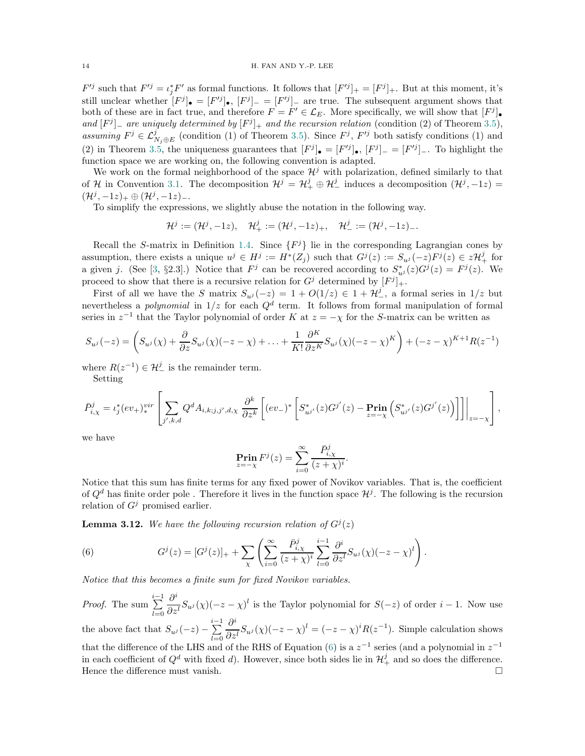<span id="page-13-1"></span> $F^{ij}$  such that  $F'^j = \iota_j^* F'$  as formal functions. It follows that  $[F'^j]_+ = [F^j]_+$ . But at this moment, it's still unclear whether  $[F^j]_{\bullet} = [F'^j]_{\bullet}$ ,  $[F^j]_{-} = [F'^j]_{-}$  are true. The subsequent argument shows that both of these are in fact true, and therefore  $F = F' \in \mathcal{L}_E$ . More specifically, we will show that  $[F^j]$ . and  $[F^j]$  are uniquely determined by  $[F^j]_+$  and the recursion relation (condition (2) of Theorem [3.5\)](#page-9-0), assuming  $F^j \in \mathcal{L}^j_{N_j \oplus E}$  (condition (1) of Theorem [3.5\)](#page-9-0). Since  $F^j$ ,  $F'^j$  both satisfy conditions (1) and (2) in Theorem [3.5,](#page-9-0) the uniqueness guarantees that  $[F^j]_{\bullet} = [F'^j]_{\bullet}, [F^j]_{-} = [F'^j]_{-}$ . To highlight the function space we are working on, the following convention is adapted.

We work on the formal neighborhood of the space  $\mathcal{H}^j$  with polarization, defined similarly to that of H in Convention [3.1.](#page-8-2) The decomposition  $\mathcal{H}^j = \mathcal{H}^j_+ \oplus \mathcal{H}^j_-$  induces a decomposition  $(\mathcal{H}^j, -1z)$  $(\mathcal{H}^j, -1z)_+ \oplus (\mathcal{H}^j, -1z)_-.$ 

To simplify the expressions, we slightly abuse the notation in the following way.

$$
\mathcal{H}^j:=(\mathcal{H}^j,-1z),\quad \mathcal{H}^j_+:=(\mathcal{H}^j,-1z)_+,\quad \mathcal{H}^j_-:=(\mathcal{H}^j,-1z)_-.
$$

Recall the S-matrix in Definition [1.4.](#page-3-2) Since  $\{F^j\}$  lie in the corresponding Lagrangian cones by assumption, there exists a unique  $u^j \in H^j := H^*(Z_j)$  such that  $G^j(z) := S_{u^j}(-z)F^j(z) \in z\mathcal{H}^j_+$  for a given j. (See [\[3,](#page-18-7) §2.3].) Notice that  $F^j$  can be recovered according to  $S^*_{u^j}(z)G^j(z) = F^j(z)$ . We proceed to show that there is a recursive relation for  $G^j$  determined by  $[F^j]_+$ .

First of all we have the S matrix  $S_{u^j}(-z) = 1 + O(1/z) \in 1 + \mathcal{H}_-^j$ , a formal series in  $1/z$  but nevertheless a *polynomial* in  $1/z$  for each  $Q<sup>d</sup>$  term. It follows from formal manipulation of formal series in  $z^{-1}$  that the Taylor polynomial of order K at  $z = -\chi$  for the S-matrix can be written as

$$
S_{u^j}(-z) = \left(S_{u^j}(\chi) + \frac{\partial}{\partial z}S_{u^j}(\chi)(-z-\chi) + \ldots + \frac{1}{K!}\frac{\partial^K}{\partial z^K}S_{u^j}(\chi)(-z-\chi)^K\right) + (-z-\chi)^{K+1}R(z^{-1})
$$

where  $R(z^{-1}) \in \mathcal{H}_{-}^{j}$  is the remainder term.

Setting

$$
\bar{P}_{i,\chi}^{j} = \iota_{j}^{*}(ev_{+})_{*}^{vir} \left[ \sum_{j',k,d} Q^{d} A_{i,k;j,j',d,\chi} \frac{\partial^{k}}{\partial z^{k}} \left[ (ev_{-})^{*} \left[ S_{u^{j'}}^{*}(z) G^{j'}(z) - \mathbf{Pr}_{z=-\chi} \left( S_{u^{j'}}^{*}(z) G^{j'}(z) \right) \right] \right] \right] \Big|_{z=-\chi} \right],
$$

we have

$$
\operatorname{Prin}_{z=-\chi} F^j(z) = \sum_{i=0}^{\infty} \frac{\bar{P}^j_{i,\chi}}{(z+\chi)^i}.
$$

Notice that this sum has finite terms for any fixed power of Novikov variables. That is, the coefficient of  $Q^d$  has finite order pole . Therefore it lives in the function space  $\mathcal{H}^j$ . The following is the recursion relation of  $G^j$  promised earlier.

**Lemma 3.12.** We have the following recursion relation of  $G^{j}(z)$ 

<span id="page-13-0"></span>(6) 
$$
G^{j}(z) = [G^{j}(z)]_{+} + \sum_{\chi} \left( \sum_{i=0}^{\infty} \frac{\bar{P}_{i,\chi}^{j}}{(z+\chi)^{i}} \sum_{l=0}^{i-1} \frac{\partial^{i}}{\partial z^{l}} S_{u^{j}}(\chi)(-z-\chi)^{l} \right).
$$

Notice that this becomes a finite sum for fixed Novikov variables.

*Proof.* The sum  $\sum_{i=1}^{i-1}$  $_{l=0}$  $\partial^i$  $\frac{\partial}{\partial z^l} S_{u^j}(\chi)(-z-\chi)^l$  is the Taylor polynomial for  $S(-z)$  of order  $i-1$ . Now use the above fact that  $S_{u^j}(-z) - \sum_{i=1}^{i-1}$  $_{l=0}$  $\partial^i$  $\frac{\partial}{\partial z^l} S_{u^j}(\chi)(-z-\chi)^l = (-z-\chi)^i R(z^{-1}).$  Simple calculation shows that the difference of the LHS and of the RHS of Equation [\(6\)](#page-13-0) is a  $z^{-1}$  series (and a polynomial in  $z^{-1}$ in each coefficient of  $Q^d$  with fixed d). However, since both sides lie in  $\mathcal{H}^j_+$  and so does the difference. Hence the difference must vanish.  $\Box$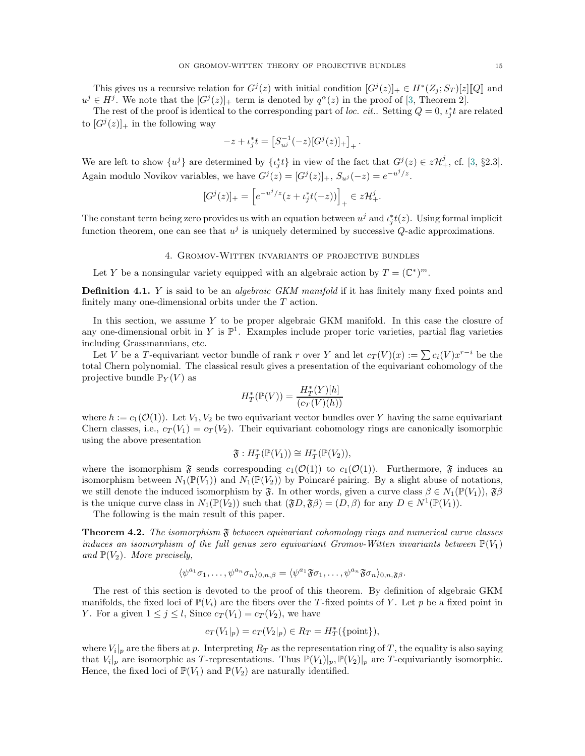<span id="page-14-2"></span>This gives us a recursive relation for  $G^{j}(z)$  with initial condition  $[G^{j}(z)]_{+} \in H^{*}(Z_{j}; S_{T})[z][[Q]$  and  $u^j \in H^j$ . We note that the  $[G^j(z)]_+$  term is denoted by  $q^{\alpha}(z)$  in the proof of [\[3,](#page-18-7) Theorem 2].

The rest of the proof is identical to the corresponding part of loc. cit.. Setting  $Q = 0$ ,  $\iota_j^* t$  are related to  $[G^{j}(z)]_{+}$  in the following way

$$
-z + \iota_j^* t = \left[ S_{u^j}^{-1}(-z) [G^j(z)]_+ \right]_+.
$$

We are left to show  $\{u^j\}$  are determined by  $\{t_j^*t\}$  in view of the fact that  $G^j(z) \in z\mathcal{H}^j_+$ , cf. [\[3,](#page-18-7) §2.3]. Again modulo Novikov variables, we have  $G^{j}(z) = [G^{j}(z)]_{+}$ ,  $S_{u^{j}}(-z) = e^{-u^{j}/z}$ .

$$
[G^{j}(z)]_{+} = \left[e^{-u^{j}/z}(z + \iota_{j}^{*}t(-z))\right]_{+} \in z\mathcal{H}_{+}^{j}.
$$

<span id="page-14-0"></span>The constant term being zero provides us with an equation between  $u^j$  and  $\iota_j^*t(z)$ . Using formal implicit function theorem, one can see that  $u^j$  is uniquely determined by successive Q-adic approximations.

# 4. Gromov-Witten invariants of projective bundles

Let Y be a nonsingular variety equipped with an algebraic action by  $T = (\mathbb{C}^*)^m$ .

**Definition 4.1.** Y is said to be an *algebraic GKM manifold* if it has finitely many fixed points and finitely many one-dimensional orbits under the T action.

In this section, we assume Y to be proper algebraic GKM manifold. In this case the closure of any one-dimensional orbit in Y is  $\mathbb{P}^1$ . Examples include proper toric varieties, partial flag varieties including Grassmannians, etc.

Let V be a T-equivariant vector bundle of rank r over Y and let  $c_T(V)(x) := \sum c_i(V) x^{r-i}$  be the total Chern polynomial. The classical result gives a presentation of the equivariant cohomology of the projective bundle  $\mathbb{P}_Y(V)$  as

$$
H^*_T(\mathbb{P}(V)) = \frac{H^*_T(Y)[h]}{(c_T(V)(h))}
$$

where  $h := c_1(\mathcal{O}(1))$ . Let  $V_1, V_2$  be two equivariant vector bundles over Y having the same equivariant Chern classes, i.e.,  $c_T(V_1) = c_T(V_2)$ . Their equivariant cohomology rings are canonically isomorphic using the above presentation

$$
\mathfrak{F}: H^*_T(\mathbb{P}(V_1)) \cong H^*_T(\mathbb{P}(V_2)),
$$

where the isomorphism  $\mathfrak F$  sends corresponding  $c_1(\mathcal O(1))$  to  $c_1(\mathcal O(1))$ . Furthermore,  $\mathfrak F$  induces an isomorphism between  $N_1(\mathbb{P}(V_1))$  and  $N_1(\mathbb{P}(V_2))$  by Poincaré pairing. By a slight abuse of notations, we still denote the induced isomorphism by  $\mathfrak{F}$ . In other words, given a curve class  $\beta \in N_1(\mathbb{P}(V_1)), \mathfrak{F}\beta$ is the unique curve class in  $N_1(\mathbb{P}(V_2))$  such that  $(\mathfrak{F}D, \mathfrak{F}\beta) = (D, \beta)$  for any  $D \in N^1(\mathbb{P}(V_1))$ .

The following is the main result of this paper.

<span id="page-14-1"></span>**Theorem 4.2.** The isomorphism  $\mathfrak{F}$  between equivariant cohomology rings and numerical curve classes induces an isomorphism of the full genus zero equivariant Gromov-Witten invariants between  $\mathbb{P}(V_1)$ and  $\mathbb{P}(V_2)$ . More precisely,

$$
\langle \psi^{a_1} \sigma_1, \dots, \psi^{a_n} \sigma_n \rangle_{0,n,\beta} = \langle \psi^{a_1} \mathfrak{F} \sigma_1, \dots, \psi^{a_n} \mathfrak{F} \sigma_n \rangle_{0,n,\mathfrak{F} \beta}.
$$

The rest of this section is devoted to the proof of this theorem. By definition of algebraic GKM manifolds, the fixed loci of  $\mathbb{P}(V_i)$  are the fibers over the T-fixed points of Y. Let p be a fixed point in Y. For a given  $1 \leq j \leq l$ , Since  $c_T(V_1) = c_T(V_2)$ , we have

$$
c_T(V_1|_p) = c_T(V_2|_p) \in R_T = H_T^*(\{\text{point}\}),
$$

where  $V_i|_p$  are the fibers at p. Interpreting  $R_T$  as the representation ring of T, the equality is also saying that  $V_i|_p$  are isomorphic as T-representations. Thus  $\mathbb{P}(V_1)|_p$ ,  $\mathbb{P}(V_2)|_p$  are T-equivariantly isomorphic. Hence, the fixed loci of  $\mathbb{P}(V_1)$  and  $\mathbb{P}(V_2)$  are naturally identified.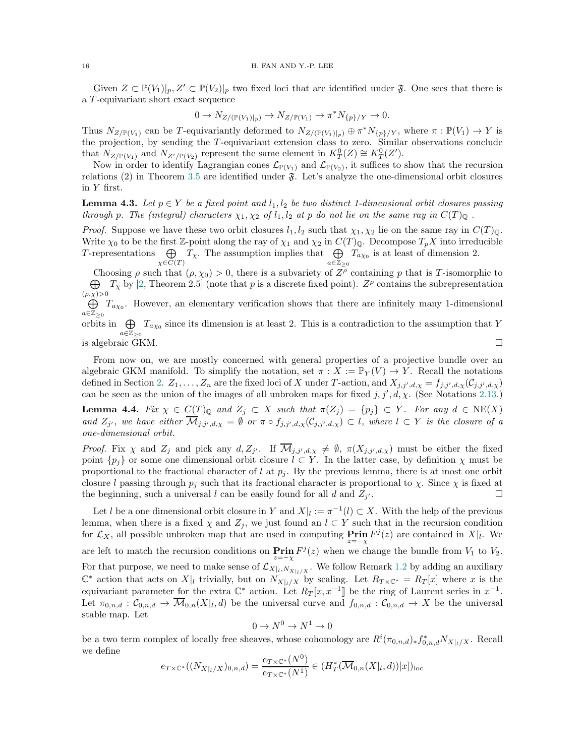<span id="page-15-1"></span>Given  $Z \subset \mathbb{P}(V_1)|_p, Z' \subset \mathbb{P}(V_2)|_p$  two fixed loci that are identified under  $\mathfrak{F}$ . One sees that there is a T -equivariant short exact sequence

$$
0 \to N_{Z/(\mathbb{P}(V_1)|_p)} \to N_{Z/\mathbb{P}(V_1)} \to \pi^* N_{\{p\}/Y} \to 0.
$$

Thus  $N_{Z/\mathbb{P}(V_1)}$  can be T-equivariantly deformed to  $N_{Z/(\mathbb{P}(V_1)|_p)} \oplus \pi^* N_{\{p\}/Y}$ , where  $\pi : \mathbb{P}(V_1) \to Y$  is the projection, by sending the T-equivariant extension class to zero. Similar observations conclude that  $N_{Z/\mathbb{P}(V_1)}$  and  $N_{Z'/\mathbb{P}(V_2)}$  represent the same element in  $K_T^0(Z) \cong K_T^0(Z')$ .

Now in order to identify Lagrangian cones  $\mathcal{L}_{\mathbb{P}(V_1)}$  and  $\mathcal{L}_{\mathbb{P}(V_2)}$ , it suffices to show that the recursion relations (2) in Theorem [3.5](#page-9-0) are identified under  $\mathfrak{F}$ . Let's analyze the one-dimensional orbit closures in Y first.

<span id="page-15-0"></span>**Lemma 4.3.** Let  $p \in Y$  be a fixed point and  $l_1, l_2$  be two distinct 1-dimensional orbit closures passing through p. The (integral) characters  $\chi_1, \chi_2$  of  $l_1, l_2$  at p do not lie on the same ray in  $C(T)_{\mathbb{Q}}$ .

*Proof.* Suppose we have these two orbit closures  $l_1, l_2$  such that  $\chi_1, \chi_2$  lie on the same ray in  $C(T)_{\mathbb{Q}}$ . Write  $\chi_0$  to be the first Z-point along the ray of  $\chi_1$  and  $\chi_2$  in  $C(T)_{\mathbb{Q}}$ . Decompose  $T_pX$  into irreducible T-representations  $\oplus$  $\bigoplus_{\chi \in C(T)} T_{\chi}$ . The assumption implies that  $\bigoplus_{a \in \mathbb{Z}_{\geq 0}}$  $\bigoplus_{a \in \mathbb{Z}_{\geq 0}} T_{a\chi_0}$  is at least of dimension 2.

Choosing  $\rho$  such that  $(\rho, \chi_0) > 0$ , there is a subvariety of  $Z^{\rho}$  containing p that is T-isomorphic to  $\bigoplus T_{\chi}$  by [\[2,](#page-18-14) Theorem 2.5] (note that p is a discrete fixed point).  $Z^{\rho}$  contains the subrepresentation  $(\rho,\chi)$ >0

 $\bigoplus T_{a\chi_0}$ . However, an elementary verification shows that there are infinitely many 1-dimensional  $a∈\mathbb{Z}_{\geq 0}$ 

orbits in  $\bigoplus T_{a\chi_0}$  since its dimension is at least 2. This is a contradiction to the assumption that Y  $a \in \mathbb{Z}_{\geq 0}$ is algebraic GKM.

From now on, we are mostly concerned with general properties of a projective bundle over an algebraic GKM manifold. To simplify the notation, set  $\pi : X := \mathbb{P}_Y(V) \to Y$ . Recall the notations defined in Section [2.](#page-3-1)  $Z_1, \ldots, Z_n$  are the fixed loci of X under T-action, and  $X_{j,j',d,\chi} = f_{j,j',d,\chi}(\mathcal{C}_{j,j',d,\chi})$ can be seen as the union of the images of all unbroken maps for fixed  $j, j', d, \chi$ . (See Notations [2.13.](#page-6-2))

**Lemma 4.4.** Fix  $\chi \in C(T)_{\mathbb{Q}}$  and  $Z_i \subset X$  such that  $\pi(Z_i) = \{p_i\} \subset Y$ . For any  $d \in \text{NE}(X)$ and  $Z_{j'}$ , we have either  $\mathcal{M}_{j,j',d,\chi} = \emptyset$  or  $\pi \circ f_{j,j',d,\chi}(\mathcal{C}_{j,j',d,\chi}) \subset l$ , where  $l \subset Y$  is the closure of a one-dimensional orbit.

*Proof.* Fix  $\chi$  and  $Z_j$  and pick any  $d, Z_{j'}$ . If  $\mathcal{M}_{j,j',d,\chi} \neq \emptyset$ ,  $\pi(X_{j,j',d,\chi})$  must be either the fixed point  $\{p_j\}$  or some one dimensional orbit closure  $l \subset Y$ . In the latter case, by definition  $\chi$  must be proportional to the fractional character of  $l$  at  $p_j$ . By the previous lemma, there is at most one orbit closure l passing through  $p_j$  such that its fractional character is proportional to  $\chi$ . Since  $\chi$  is fixed at the beginning, such a universal l can be easily found for all d and  $Z_{j'}$ .  $\alpha$  . The contract of the contract of  $\Box$ 

Let l be a one dimensional orbit closure in Y and  $X|_l := \pi^{-1}(l) \subset X$ . With the help of the previous lemma, when there is a fixed  $\chi$  and  $Z_j$ , we just found an  $l \subset Y$  such that in the recursion condition for  $\mathcal{L}_X$ , all possible unbroken map that are used in computing  $\overline{\Pr}$ **in**  $F^j(z)$  are contained in  $X|_l$ . We are left to match the recursion conditions on  $\operatorname{Prin}_z F^j(z)$  when we change the bundle from  $V_1$  to  $V_2$ . For that purpose, we need to make sense of  $\mathcal{L}_{X|_l,N_{X|_l/X}}$ . We follow Remark [1.2](#page-2-2) by adding an auxiliary  $\mathbb{C}^*$  action that acts on  $X|_l$  trivially, but on  $N_{X|_l/X}$  by scaling. Let  $R_{T\times\mathbb{C}^*}=R_T[x]$  where x is the equivariant parameter for the extra  $\mathbb{C}^*$  action. Let  $R_T[x, x^{-1}]$  be the ring of Laurent series in  $x^{-1}$ . Let  $\pi_{0,n,d}: \mathcal{C}_{0,n,d} \to \mathcal{M}_{0,n}(X|_l,d)$  be the universal curve and  $f_{0,n,d}: \mathcal{C}_{0,n,d} \to X$  be the universal stable map. Let

$$
0 \to N^0 \to N^1 \to 0
$$

be a two term complex of locally free sheaves, whose cohomology are  $R^i(\pi_{0,n,d})_* f_{0,n,d}^* N_{X|_l/X}$ . Recall we define

$$
e_{T\times\mathbb{C}^*}((N_{X|_l/X})_{0,n,d}) = \frac{e_{T\times\mathbb{C}^*}(N^0)}{e_{T\times\mathbb{C}^*}(N^1)} \in (H_T^*(\overline{\mathcal{M}}_{0,n}(X|_l,d))[x])_{loc}
$$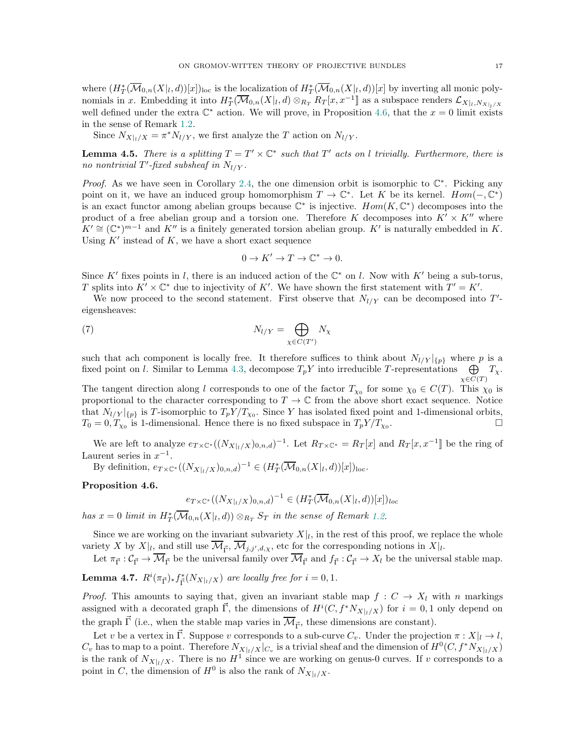where  $(H^*_T(\overline{\mathcal{M}}_{0,n}(X|_l,d))[x])_{loc}$  is the <u>loc</u>alization of  $H^*_T(\overline{\mathcal{M}}_{0,n}(X|_l,d))[x]$  by inverting all monic polynomials in x. Embedding it into  $H^*_T(\overline{\mathcal{M}}_{0,n}(X|_l,d) \otimes_{R_T} R_T[x,x^{-1}]$  as a subspace renders  $\mathcal{L}_{X|_l,N_{X|_l/X}}$ well defined under the extra  $\mathbb{C}^*$  action. We will prove, in Proposition [4.6,](#page-16-0) that the  $x = 0$  limit exists in the sense of Remark [1.2.](#page-2-2)

Since  $N_{X|_l/X} = \pi^* N_{l/Y}$ , we first analyze the T action on  $N_{l/Y}$ .

**Lemma 4.5.** There is a splitting  $T = T' \times \mathbb{C}^*$  such that  $T'$  acts on l trivially. Furthermore, there is no nontrivial T'-fixed subsheaf in  $N_{l/Y}$ .

*Proof.* As we have seen in Corollary [2.4,](#page-5-1) the one dimension orbit is isomorphic to  $\mathbb{C}^*$ . Picking any point on it, we have an induced group homomorphism  $T \to \mathbb{C}^*$ . Let K be its kernel.  $Hom(-,\mathbb{C}^*)$ is an exact functor among abelian groups because  $\mathbb{C}^*$  is injective.  $Hom(K, \mathbb{C}^*)$  decomposes into the product of a free abelian group and a torsion one. Therefore K decomposes into  $K' \times K''$  where  $K' \cong (\mathbb{C}^*)^{m-1}$  and  $K''$  is a finitely generated torsion abelian group.  $K'$  is naturally embedded in K. Using  $K'$  instead of  $K$ , we have a short exact sequence

<span id="page-16-1"></span>
$$
0 \to K' \to T \to \mathbb{C}^* \to 0.
$$

Since K' fixes points in l, there is an induced action of the  $\mathbb{C}^*$  on l. Now with K' being a sub-torus, T splits into  $K' \times \mathbb{C}^*$  due to injectivity of K'. We have shown the first statement with  $T' = K'$ .

We now proceed to the second statement. First observe that  $N_{l/Y}$  can be decomposed into T'eigensheaves:

$$
N_{l/Y} = \bigoplus_{\chi \in C(T')} N_{\chi}
$$

such that ach component is locally free. It therefore suffices to think about  $N_{l/Y}|_{\{p\}}$  where p is a fixed point on l. Similar to Lemma [4.3,](#page-15-0) decompose  $T_pY$  into irreducible T-representations  $\bigoplus T_\chi$ .  $\chi \in C(T)$ 

The tangent direction along l corresponds to one of the factor  $T_{\chi_0}$  for some  $\chi_0 \in C(T)$ . This  $\chi_0$  is proportional to the character corresponding to  $T \to \mathbb{C}$  from the above short exact sequence. Notice that  $N_{l/Y}|_{\{p\}}$  is T-isomorphic to  $T_pY/T_{\chi_0}$ . Since Y has isolated fixed point and 1-dimensional orbits,  $T_0 = 0, T_{\chi_0}$  is 1-dimensional. Hence there is no fixed subspace in  $T_p Y/T_{\chi_0}$ . — Процессиональные просто производительные производительные производительные производительные производительн<br>В соответствии и производительные производительные производительные производительные производительные производ

We are left to analyze  $e_{T\times\mathbb{C}^*}((N_{X|_l/X})_{0,n,d})^{-1}$ . Let  $R_{T\times\mathbb{C}^*}=R_T[x]$  and  $R_T[x,x^{-1}]$  be the ring of Laurent series in  $x^{-1}$ .

By definition,  $e_{T\times \mathbb{C}^*}((N_{X|_l/X})_{0,n,d})^{-1} \in (H^*_T(\overline{\mathcal{M}}_{0,n}(X|_l,d))[x])_{loc}.$ 

<span id="page-16-0"></span>Proposition 4.6.

$$
e_{T\times\mathbb{C}^*}((N_{X|_l/X})_{0,n,d})^{-1}\in(H_T^*(\overline{\mathcal{M}}_{0,n}(X|_l,d))[x])_{loc}
$$

has  $x = 0$  limit in  $H^*_T(\overline{\mathcal{M}}_{0,n}(X|_l,d)) \otimes_{R_T} S_T$  in the sense of Remark [1.2.](#page-2-2)

Since we are working on the invariant subvariety  $X|_l$ , in the rest of this proof, we replace the whole variety X by  $X|_{l}$ , and still use  $\mathcal{M}_{\vec{\Gamma}}, \mathcal{M}_{j,j',d,\chi}$ , etc for the corresponding notions in  $X|_{l}$ .

Let  $\pi_{\vec{\Gamma}}: \mathcal{C}_{\vec{\Gamma}} \to \mathcal{M}_{\vec{\Gamma}}$  be the universal family over  $\mathcal{M}_{\vec{\Gamma}}$  and  $f_{\vec{\Gamma}}: \mathcal{C}_{\vec{\Gamma}} \to X_l$  be the universal stable map.

**Lemma 4.7.**  $R^i(\pi_{\vec{\Gamma}})_* f^*_{\vec{\Gamma}}(N_{X|_l/X})$  are locally free for  $i = 0, 1$ .

*Proof.* This amounts to saying that, given an invariant stable map  $f : C \to X_l$  with n markings assigned with a decorated graph  $\vec{\Gamma}$ , the dimensions of  $H^{i}(C, f^{*}N_{X|_{l}/X})$  for  $i = 0, 1$  only depend on the graph  $\vec{\Gamma}$  (i.e., when the stable map varies in  $\overline{\mathcal{M}}_{\vec{\Gamma}}$ , these dimensions are constant).

Let v be a vertex in  $\vec{\Gamma}$ . Suppose v corresponds to a sub-curve  $C_v$ . Under the projection  $\pi: X|_l \to l$ ,  $C_v$  has to map to a point. Therefore  $N_{X|_l/X}|_{C_v}$  is a trivial sheaf and the dimension of  $H^0(C, f^*N_{X|_l/X})$ is the rank of  $N_{X|_l/X}$ . There is no  $H^1$  since we are working on genus-0 curves. If v corresponds to a point in C, the dimension of  $H^0$  is also the rank of  $N_{X|_l/X}$ .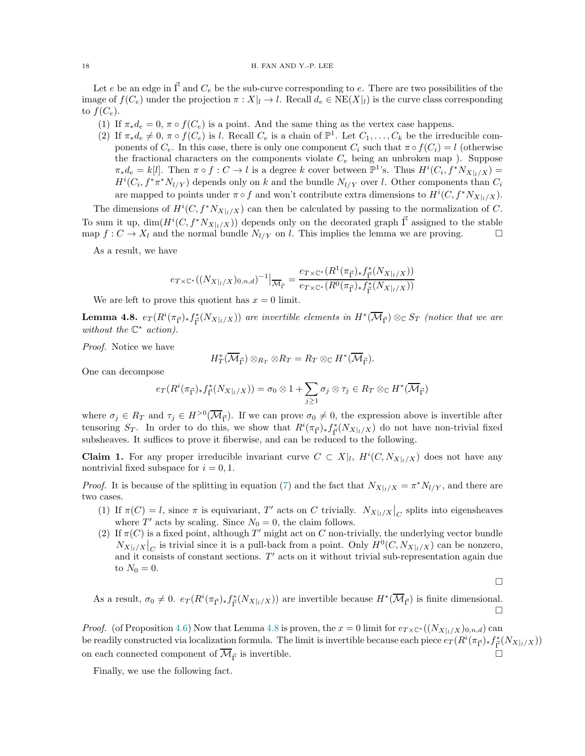Let e be an edge in  $\vec{\Gamma}$  and  $C_e$  be the sub-curve corresponding to e. There are two possibilities of the image of  $f(C_e)$  under the projection  $\pi : X|_l \to l$ . Recall  $d_e \in \text{NE}(X|_l)$  is the curve class corresponding to  $f(C_e)$ .

- (1) If  $\pi_* d_e = 0$ ,  $\pi \circ f(C_e)$  is a point. And the same thing as the vertex case happens.
- (2) If  $\pi_* d_e \neq 0$ ,  $\pi \circ f(C_e)$  is l. Recall  $C_e$  is a chain of  $\mathbb{P}^1$ . Let  $C_1, \ldots, C_k$  be the irreducible components of  $C_e$ . In this case, there is only one component  $C_i$  such that  $\pi \circ f(C_i) = l$  (otherwise the fractional characters on the components violate  $C_e$  being an unbroken map ). Suppose  $\pi_* d_e = k[l]$ . Then  $\pi \circ f : C \to l$  is a degree k cover between  $\mathbb{P}^1$ 's. Thus  $H^i(C_i, f^*N_{X|_l/X}) =$  $H^{i}(C_i, f^* \pi^* N_{l/Y})$  depends only on k and the bundle  $N_{l/Y}$  over l. Other components than  $C_i$ are mapped to points under  $\pi \circ f$  and won't contribute extra dimensions to  $H^{i}(C, f^{*}N_{X|_{l}/X}).$

The dimensions of  $H^{i}(C, f^*N_{X|_{l}/X})$  can then be calculated by passing to the normalization of C. To sum it up,  $\dim(H^{i}(C, f^*N_{X|_{l}/X}))$  depends only on the decorated graph  $\vec{\Gamma}$  assigned to the stable map  $f: C \to X_l$  and the normal bundle  $N_{l/Y}$  on l. This implies the lemma we are proving.

As a result, we have

$$
e_{T \times \mathbb{C}^*}((N_{X|_l/X})_{0,n,d})^{-1} \big|_{\overline{\mathcal{M}}_{\overline{\Gamma}}} = \frac{e_{T \times \mathbb{C}^*}(R^1(\pi_{\overline{\Gamma}})_* f^*_{\overline{\Gamma}}(N_{X|_l/X}))}{e_{T \times \mathbb{C}^*}(R^0(\pi_{\overline{\Gamma}})_* f^*_{\overline{\Gamma}}(N_{X|_l/X}))}
$$

We are left to prove this quotient has  $x = 0$  limit.

<span id="page-17-0"></span>**Lemma 4.8.**  $e_T(R^i(\pi_{\vec{\Gamma}})_*f_{\vec{\Gamma}}^*(N_{X|_l/X}))$  are invertible elements in  $H^*(\overline{\mathcal{M}}_{\vec{\Gamma}}) \otimes_{\mathbb{C}} S_T$  (notice that we are without the  $\mathbb{C}^*$  action).

Proof. Notice we have

$$
H^*_T(\overline{\mathcal{M}}_{\vec{\Gamma}}) \otimes_{R_T} \otimes R_T = R_T \otimes_{\mathbb{C}} H^*(\overline{\mathcal{M}}_{\vec{\Gamma}}).
$$

One can decompose

$$
e_T(R^i(\pi_{\vec{\Gamma}})_*f^*_{\vec{\Gamma}}(N_{X|_l/X})) = \sigma_0 \otimes 1 + \sum_{j\geq 1} \sigma_j \otimes \tau_j \in R_T \otimes_{\mathbb{C}} H^*(\overline{\mathcal{M}}_{\vec{\Gamma}})
$$

where  $\sigma_j \in R_T$  and  $\tau_j \in H^{>0}(\overline{\mathcal{M}}_{\vec{\Gamma}})$ . If we can prove  $\sigma_0 \neq 0$ , the expression above is invertible after tensoring  $S_T$ . In order to do this, we show that  $R^i(\pi_{\vec{p}})_* f^*_{\vec{p}}(N_{X|_l/X})$  do not have non-trivial fixed subsheaves. It suffices to prove it fiberwise, and can be reduced to the following.

**Claim 1.** For any proper irreducible invariant curve  $C \subset X|_l$ ,  $H^i(C, N_{X|_l/X})$  does not have any nontrivial fixed subspace for  $i = 0, 1$ .

*Proof.* It is because of the splitting in equation [\(7\)](#page-16-1) and the fact that  $N_{X|_l/X} = \pi^* N_{l/Y}$ , and there are two cases.

- (1) If  $\pi(C) = l$ , since  $\pi$  is equivariant, T' acts on C trivially.  $N_{X|_l/X}|_C$  splits into eigensheaves where  $T'$  acts by scaling. Since  $N_0 = 0$ , the claim follows.
- (2) If  $\pi(C)$  is a fixed point, although T' might act on C non-trivially, the underlying vector bundle  $N_{X|_l/X}\Big|_C$  is trivial since it is a pull-back from a point. Only  $H^0(C, N_{X|_l/X})$  can be nonzero, and it consists of constant sections.  $T'$  acts on it without trivial sub-representation again due to  $N_0 = 0$ .

 $\Box$ 

As a result,  $\sigma_0 \neq 0$ .  $e_T (R^i(\pi_{\vec{\Gamma}})_* f^*_{\vec{\Gamma}}(N_{X|_l/X}))$  are invertible because  $H^*(\overline{\mathcal{M}}_{\vec{\Gamma}})$  is finite dimensional.  $\Box$ 

*Proof.* (of Proposition [4.6\)](#page-16-0) Now that Lemma [4.8](#page-17-0) is proven, the  $x = 0$  limit for  $e_{T \times \mathbb{C}^*}((N_{X|_I/X})_{0,n,d})$  can be readily constructed via localization formula. The limit is invertible because each piece  $e_T(R^i(\pi_{\vec{\Gamma}})_*f_{\vec{\Gamma}}^*(N_{X|_l/X}))$ on each connected component of  $\overline{\mathcal{M}}_{\vec{\Gamma}}$  is invertible.

Finally, we use the following fact.